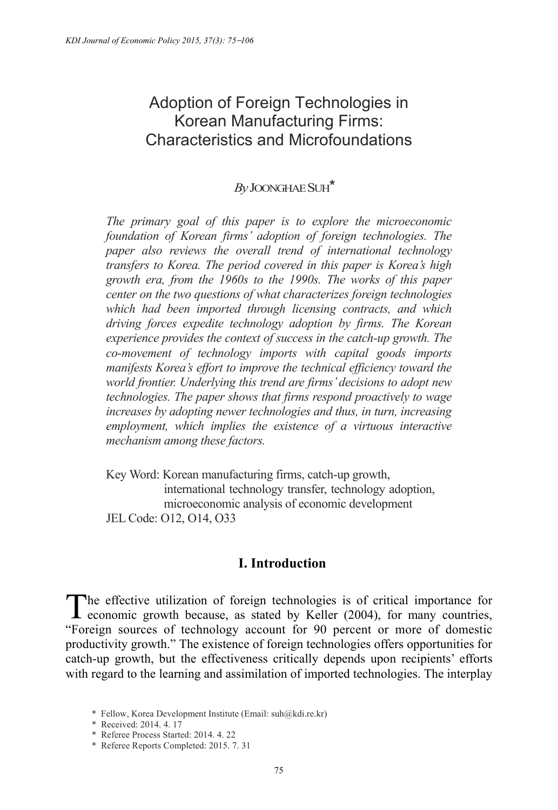# Adoption of Foreign Technologies in Korean Manufacturing Firms: Characteristics and Microfoundations

## *By* JOONGHAESUH\*

*The primary goal of this paper is to explore the microeconomic foundation of Korean firms' adoption of foreign technologies. The paper also reviews the overall trend of international technology transfers to Korea. The period covered in this paper is Korea's high growth era, from the 1960s to the 1990s. The works of this paper center on the two questions of what characterizes foreign technologies which had been imported through licensing contracts, and which driving forces expedite technology adoption by firms. The Korean experience provides the context of success in the catch-up growth. The co-movement of technology imports with capital goods imports manifests Korea's effort to improve the technical efficiency toward the world frontier. Underlying this trend are firms' decisions to adopt new technologies. The paper shows that firms respond proactively to wage increases by adopting newer technologies and thus, in turn, increasing employment, which implies the existence of a virtuous interactive mechanism among these factors.* 

Key Word: Korean manufacturing firms, catch-up growth, international technology transfer, technology adoption, microeconomic analysis of economic development JEL Code: O12, O14, O33

## **I. Introduction**

The effective utilization of foreign technologies is of critical importance for economic growth because, as stated by Keller (2004), for many countries, economic growth because, as stated by Keller (2004), for many countries, "Foreign sources of technology account for 90 percent or more of domestic productivity growth." The existence of foreign technologies offers opportunities for catch-up growth, but the effectiveness critically depends upon recipients' efforts with regard to the learning and assimilation of imported technologies. The interplay

<sup>\*</sup> Fellow, Korea Development Institute (Email: suh@kdi.re.kr)

<sup>\*</sup> Received: 2014. 4. 17

<sup>\*</sup> Referee Process Started: 2014. 4. 22

<sup>\*</sup> Referee Reports Completed: 2015. 7. 31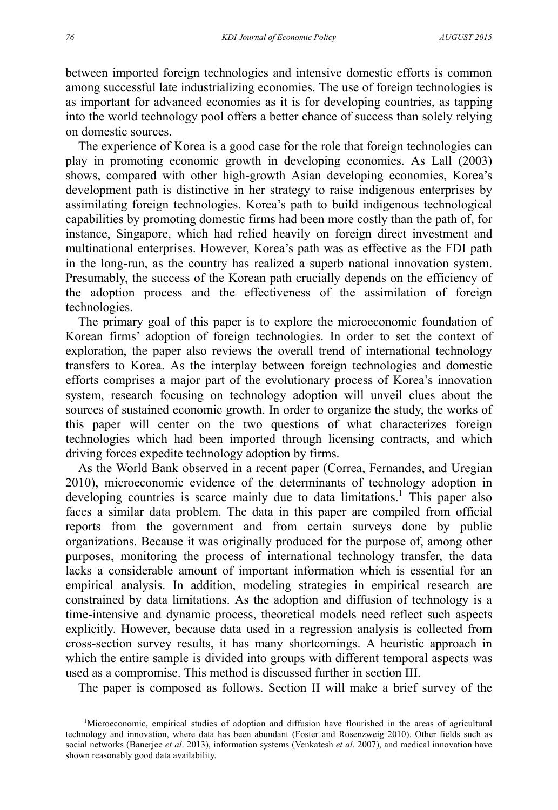between imported foreign technologies and intensive domestic efforts is common among successful late industrializing economies. The use of foreign technologies is as important for advanced economies as it is for developing countries, as tapping into the world technology pool offers a better chance of success than solely relying on domestic sources.

The experience of Korea is a good case for the role that foreign technologies can play in promoting economic growth in developing economies. As Lall (2003) shows, compared with other high-growth Asian developing economies, Korea's development path is distinctive in her strategy to raise indigenous enterprises by assimilating foreign technologies. Korea's path to build indigenous technological capabilities by promoting domestic firms had been more costly than the path of, for instance, Singapore, which had relied heavily on foreign direct investment and multinational enterprises. However, Korea's path was as effective as the FDI path in the long-run, as the country has realized a superb national innovation system. Presumably, the success of the Korean path crucially depends on the efficiency of the adoption process and the effectiveness of the assimilation of foreign technologies.

The primary goal of this paper is to explore the microeconomic foundation of Korean firms' adoption of foreign technologies. In order to set the context of exploration, the paper also reviews the overall trend of international technology transfers to Korea. As the interplay between foreign technologies and domestic efforts comprises a major part of the evolutionary process of Korea's innovation system, research focusing on technology adoption will unveil clues about the sources of sustained economic growth. In order to organize the study, the works of this paper will center on the two questions of what characterizes foreign technologies which had been imported through licensing contracts, and which driving forces expedite technology adoption by firms.

As the World Bank observed in a recent paper (Correa, Fernandes, and Uregian 2010), microeconomic evidence of the determinants of technology adoption in developing countries is scarce mainly due to data limitations.<sup>1</sup> This paper also faces a similar data problem. The data in this paper are compiled from official reports from the government and from certain surveys done by public organizations. Because it was originally produced for the purpose of, among other purposes, monitoring the process of international technology transfer, the data lacks a considerable amount of important information which is essential for an empirical analysis. In addition, modeling strategies in empirical research are constrained by data limitations. As the adoption and diffusion of technology is a time-intensive and dynamic process, theoretical models need reflect such aspects explicitly. However, because data used in a regression analysis is collected from cross-section survey results, it has many shortcomings. A heuristic approach in which the entire sample is divided into groups with different temporal aspects was used as a compromise. This method is discussed further in section III.

The paper is composed as follows. Section II will make a brief survey of the

<sup>1</sup> Microeconomic, empirical studies of adoption and diffusion have flourished in the areas of agricultural technology and innovation, where data has been abundant (Foster and Rosenzweig 2010). Other fields such as social networks (Banerjee *et al*. 2013), information systems (Venkatesh *et al*. 2007), and medical innovation have shown reasonably good data availability.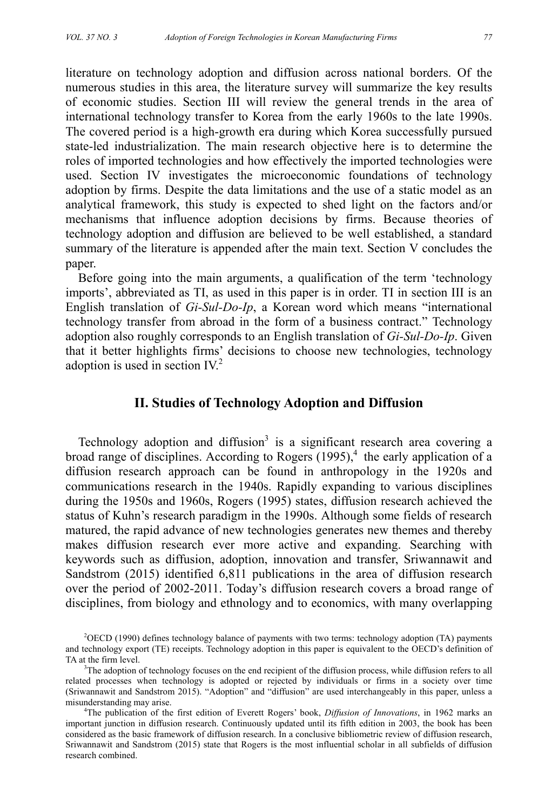literature on technology adoption and diffusion across national borders. Of the numerous studies in this area, the literature survey will summarize the key results of economic studies. Section III will review the general trends in the area of international technology transfer to Korea from the early 1960s to the late 1990s. The covered period is a high-growth era during which Korea successfully pursued state-led industrialization. The main research objective here is to determine the roles of imported technologies and how effectively the imported technologies were used. Section IV investigates the microeconomic foundations of technology adoption by firms. Despite the data limitations and the use of a static model as an analytical framework, this study is expected to shed light on the factors and/or mechanisms that influence adoption decisions by firms. Because theories of technology adoption and diffusion are believed to be well established, a standard summary of the literature is appended after the main text. Section V concludes the paper.

Before going into the main arguments, a qualification of the term 'technology imports', abbreviated as TI, as used in this paper is in order. TI in section III is an English translation of *Gi-Sul-Do-Ip*, a Korean word which means "international technology transfer from abroad in the form of a business contract." Technology adoption also roughly corresponds to an English translation of *Gi-Sul-Do-Ip*. Given that it better highlights firms' decisions to choose new technologies, technology adoption is used in section IV.<sup>2</sup>

## **II. Studies of Technology Adoption and Diffusion**

Technology adoption and diffusion<sup>3</sup> is a significant research area covering a broad range of disciplines. According to Rogers  $(1995)$ <sup>4</sup>, the early application of a diffusion research approach can be found in anthropology in the 1920s and communications research in the 1940s. Rapidly expanding to various disciplines during the 1950s and 1960s, Rogers (1995) states, diffusion research achieved the status of Kuhn's research paradigm in the 1990s. Although some fields of research matured, the rapid advance of new technologies generates new themes and thereby makes diffusion research ever more active and expanding. Searching with keywords such as diffusion, adoption, innovation and transfer, Sriwannawit and Sandstrom (2015) identified 6,811 publications in the area of diffusion research over the period of 2002-2011. Today's diffusion research covers a broad range of disciplines, from biology and ethnology and to economics, with many overlapping

<sup>2</sup> OECD (1990) defines technology balance of payments with two terms: technology adoption (TA) payments and technology export (TE) receipts. Technology adoption in this paper is equivalent to the OECD's definition of TA at the firm level.

<sup>&</sup>lt;sup>3</sup>The adoption of technology focuses on the end recipient of the diffusion process, while diffusion refers to all related processes when technology is adopted or rejected by individuals or firms in a society over time (Sriwannawit and Sandstrom 2015). "Adoption" and "diffusion" are used interchangeably in this paper, unless a misunderstanding may arise. 4

<sup>&</sup>lt;sup>4</sup>The publication of the first edition of Everett Rogers' book, *Diffusion of Innovations*, in 1962 marks an important junction in diffusion research. Continuously updated until its fifth edition in 2003, the book has been considered as the basic framework of diffusion research. In a conclusive bibliometric review of diffusion research, Sriwannawit and Sandstrom (2015) state that Rogers is the most influential scholar in all subfields of diffusion research combined.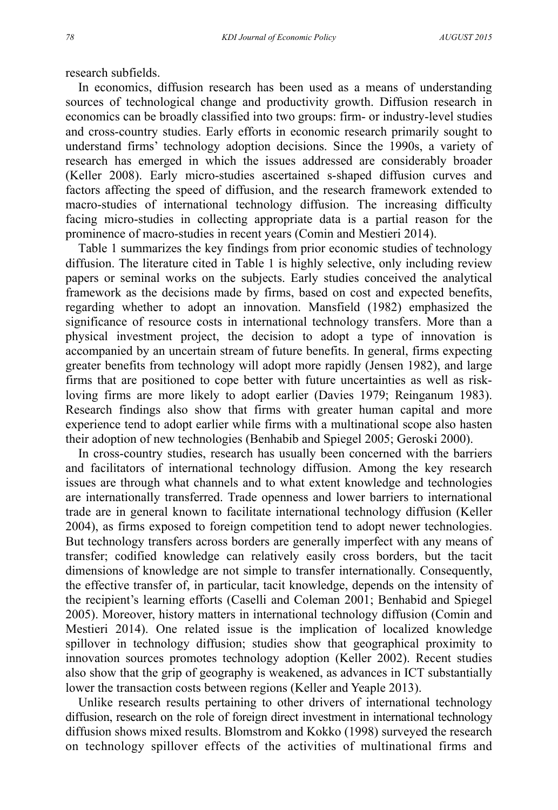research subfields.

In economics, diffusion research has been used as a means of understanding sources of technological change and productivity growth. Diffusion research in economics can be broadly classified into two groups: firm- or industry-level studies and cross-country studies. Early efforts in economic research primarily sought to understand firms' technology adoption decisions. Since the 1990s, a variety of research has emerged in which the issues addressed are considerably broader (Keller 2008). Early micro-studies ascertained s-shaped diffusion curves and factors affecting the speed of diffusion, and the research framework extended to macro-studies of international technology diffusion. The increasing difficulty facing micro-studies in collecting appropriate data is a partial reason for the prominence of macro-studies in recent years (Comin and Mestieri 2014).

Table 1 summarizes the key findings from prior economic studies of technology diffusion. The literature cited in Table 1 is highly selective, only including review papers or seminal works on the subjects. Early studies conceived the analytical framework as the decisions made by firms, based on cost and expected benefits, regarding whether to adopt an innovation. Mansfield (1982) emphasized the significance of resource costs in international technology transfers. More than a physical investment project, the decision to adopt a type of innovation is accompanied by an uncertain stream of future benefits. In general, firms expecting greater benefits from technology will adopt more rapidly (Jensen 1982), and large firms that are positioned to cope better with future uncertainties as well as riskloving firms are more likely to adopt earlier (Davies 1979; Reinganum 1983). Research findings also show that firms with greater human capital and more experience tend to adopt earlier while firms with a multinational scope also hasten their adoption of new technologies (Benhabib and Spiegel 2005; Geroski 2000).

In cross-country studies, research has usually been concerned with the barriers and facilitators of international technology diffusion. Among the key research issues are through what channels and to what extent knowledge and technologies are internationally transferred. Trade openness and lower barriers to international trade are in general known to facilitate international technology diffusion (Keller 2004), as firms exposed to foreign competition tend to adopt newer technologies. But technology transfers across borders are generally imperfect with any means of transfer; codified knowledge can relatively easily cross borders, but the tacit dimensions of knowledge are not simple to transfer internationally. Consequently, the effective transfer of, in particular, tacit knowledge, depends on the intensity of the recipient's learning efforts (Caselli and Coleman 2001; Benhabid and Spiegel 2005). Moreover, history matters in international technology diffusion (Comin and Mestieri 2014). One related issue is the implication of localized knowledge spillover in technology diffusion; studies show that geographical proximity to innovation sources promotes technology adoption (Keller 2002). Recent studies also show that the grip of geography is weakened, as advances in ICT substantially lower the transaction costs between regions (Keller and Yeaple 2013).

Unlike research results pertaining to other drivers of international technology diffusion, research on the role of foreign direct investment in international technology diffusion shows mixed results. Blomstrom and Kokko (1998) surveyed the research on technology spillover effects of the activities of multinational firms and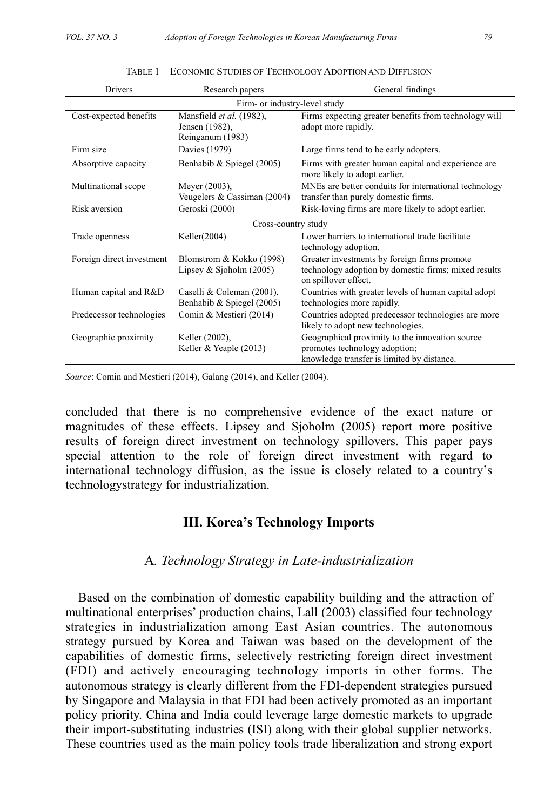| Drivers                   | Research papers                                                | General findings                                                                                                               |  |  |  |
|---------------------------|----------------------------------------------------------------|--------------------------------------------------------------------------------------------------------------------------------|--|--|--|
|                           | Firm- or industry-level study                                  |                                                                                                                                |  |  |  |
| Cost-expected benefits    | Mansfield et al. (1982),<br>Jensen (1982),<br>Reinganum (1983) | Firms expecting greater benefits from technology will<br>adopt more rapidly.                                                   |  |  |  |
| Firm size                 | Davies (1979)                                                  | Large firms tend to be early adopters.                                                                                         |  |  |  |
| Absorptive capacity       | Benhabib & Spiegel (2005)                                      | Firms with greater human capital and experience are<br>more likely to adopt earlier.                                           |  |  |  |
| Multinational scope       | Meyer (2003),<br>Veugelers & Cassiman (2004)                   | MNEs are better conduits for international technology<br>transfer than purely domestic firms.                                  |  |  |  |
| Risk aversion             | Geroski (2000)                                                 | Risk-loving firms are more likely to adopt earlier.                                                                            |  |  |  |
| Cross-country study       |                                                                |                                                                                                                                |  |  |  |
| Trade openness            | Keller(2004)                                                   | Lower barriers to international trade facilitate<br>technology adoption.                                                       |  |  |  |
| Foreign direct investment | Blomstrom & Kokko (1998)<br>Lipsey & Sjoholm $(2005)$          | Greater investments by foreign firms promote<br>technology adoption by domestic firms; mixed results<br>on spillover effect.   |  |  |  |
| Human capital and R&D     | Caselli & Coleman (2001),<br>Benhabib & Spiegel (2005)         | Countries with greater levels of human capital adopt<br>technologies more rapidly.                                             |  |  |  |
| Predecessor technologies  | Comin & Mestieri (2014)                                        | Countries adopted predecessor technologies are more<br>likely to adopt new technologies.                                       |  |  |  |
| Geographic proximity      | Keller (2002),<br>Keller & Yeaple $(2013)$                     | Geographical proximity to the innovation source<br>promotes technology adoption;<br>knowledge transfer is limited by distance. |  |  |  |

| TABLE 1—ECONOMIC STUDIES OF TECHNOLOGY ADOPTION AND DIFFUSION |  |
|---------------------------------------------------------------|--|
|---------------------------------------------------------------|--|

*Source*: Comin and Mestieri (2014), Galang (2014), and Keller (2004).

concluded that there is no comprehensive evidence of the exact nature or magnitudes of these effects. Lipsey and Sjoholm (2005) report more positive results of foreign direct investment on technology spillovers. This paper pays special attention to the role of foreign direct investment with regard to international technology diffusion, as the issue is closely related to a country's technologystrategy for industrialization.

## **III. Korea's Technology Imports**

#### A*. Technology Strategy in Late-industrialization*

Based on the combination of domestic capability building and the attraction of multinational enterprises' production chains, Lall (2003) classified four technology strategies in industrialization among East Asian countries. The autonomous strategy pursued by Korea and Taiwan was based on the development of the capabilities of domestic firms, selectively restricting foreign direct investment (FDI) and actively encouraging technology imports in other forms. The autonomous strategy is clearly different from the FDI-dependent strategies pursued by Singapore and Malaysia in that FDI had been actively promoted as an important policy priority. China and India could leverage large domestic markets to upgrade their import-substituting industries (ISI) along with their global supplier networks. These countries used as the main policy tools trade liberalization and strong export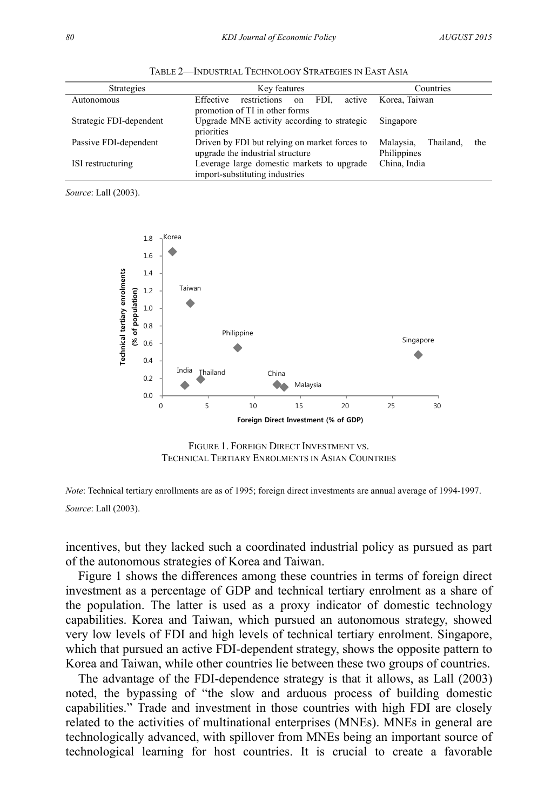| <b>Strategies</b>       | Key features                                                                        | Countries                                    |
|-------------------------|-------------------------------------------------------------------------------------|----------------------------------------------|
| Autonomous              | restrictions<br>Effective<br>FDI.<br>active<br>on<br>promotion of TI in other forms | Korea. Taiwan                                |
| Strategic FDI-dependent | Upgrade MNE activity according to strategic<br>priorities                           | Singapore                                    |
| Passive FDI-dependent   | Driven by FDI but relying on market forces to<br>upgrade the industrial structure   | Malaysia,<br>Thailand,<br>the<br>Philippines |
| ISI restructuring       | Leverage large domestic markets to upgrade<br>import-substituting industries        | China, India                                 |

TABLE 2—INDUSTRIAL TECHNOLOGY STRATEGIES IN EAST ASIA

*Source*: Lall (2003).



FIGURE 1. FOREIGN DIRECT INVESTMENT VS. TECHNICAL TERTIARY ENROLMENTS IN ASIAN COUNTRIES

*Note*: Technical tertiary enrollments are as of 1995; foreign direct investments are annual average of 1994-1997. *Source*: Lall (2003).

incentives, but they lacked such a coordinated industrial policy as pursued as part of the autonomous strategies of Korea and Taiwan.

Figure 1 shows the differences among these countries in terms of foreign direct investment as a percentage of GDP and technical tertiary enrolment as a share of the population. The latter is used as a proxy indicator of domestic technology capabilities. Korea and Taiwan, which pursued an autonomous strategy, showed very low levels of FDI and high levels of technical tertiary enrolment. Singapore, which that pursued an active FDI-dependent strategy, shows the opposite pattern to Korea and Taiwan, while other countries lie between these two groups of countries.

The advantage of the FDI-dependence strategy is that it allows, as Lall (2003) noted, the bypassing of "the slow and arduous process of building domestic capabilities." Trade and investment in those countries with high FDI are closely related to the activities of multinational enterprises (MNEs). MNEs in general are technologically advanced, with spillover from MNEs being an important source of technological learning for host countries. It is crucial to create a favorable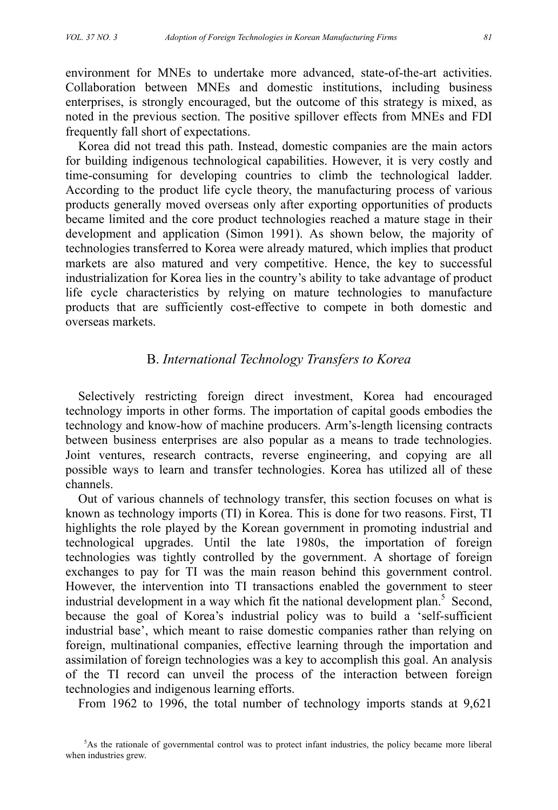environment for MNEs to undertake more advanced, state-of-the-art activities. Collaboration between MNEs and domestic institutions, including business enterprises, is strongly encouraged, but the outcome of this strategy is mixed, as noted in the previous section. The positive spillover effects from MNEs and FDI frequently fall short of expectations.

Korea did not tread this path. Instead, domestic companies are the main actors for building indigenous technological capabilities. However, it is very costly and time-consuming for developing countries to climb the technological ladder. According to the product life cycle theory, the manufacturing process of various products generally moved overseas only after exporting opportunities of products became limited and the core product technologies reached a mature stage in their development and application (Simon 1991). As shown below, the majority of technologies transferred to Korea were already matured, which implies that product markets are also matured and very competitive. Hence, the key to successful industrialization for Korea lies in the country's ability to take advantage of product life cycle characteristics by relying on mature technologies to manufacture products that are sufficiently cost-effective to compete in both domestic and overseas markets.

## B. *International Technology Transfers to Korea*

Selectively restricting foreign direct investment, Korea had encouraged technology imports in other forms. The importation of capital goods embodies the technology and know-how of machine producers. Arm's-length licensing contracts between business enterprises are also popular as a means to trade technologies. Joint ventures, research contracts, reverse engineering, and copying are all possible ways to learn and transfer technologies. Korea has utilized all of these channels.

Out of various channels of technology transfer, this section focuses on what is known as technology imports (TI) in Korea. This is done for two reasons. First, TI highlights the role played by the Korean government in promoting industrial and technological upgrades. Until the late 1980s, the importation of foreign technologies was tightly controlled by the government. A shortage of foreign exchanges to pay for TI was the main reason behind this government control. However, the intervention into TI transactions enabled the government to steer industrial development in a way which fit the national development plan.<sup>5</sup> Second, because the goal of Korea's industrial policy was to build a 'self-sufficient industrial base', which meant to raise domestic companies rather than relying on foreign, multinational companies, effective learning through the importation and assimilation of foreign technologies was a key to accomplish this goal. An analysis of the TI record can unveil the process of the interaction between foreign technologies and indigenous learning efforts.

From 1962 to 1996, the total number of technology imports stands at 9,621

<sup>5</sup> As the rationale of governmental control was to protect infant industries, the policy became more liberal when industries grew.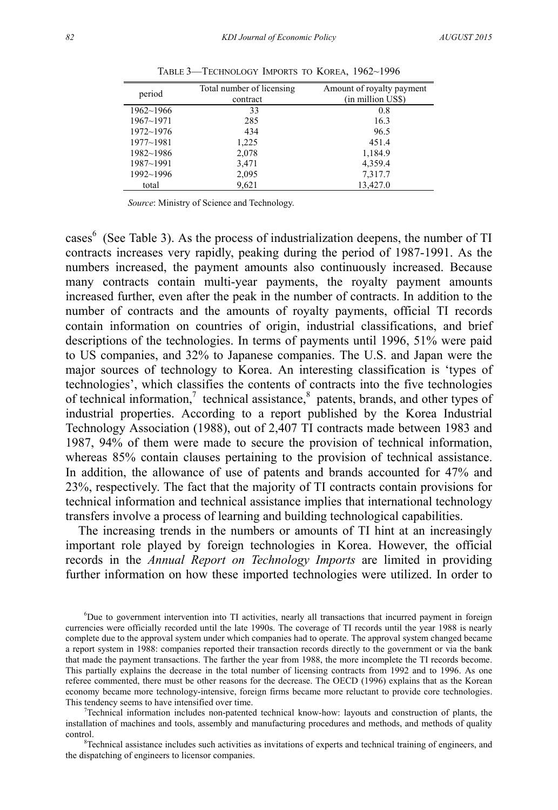| period        | Total number of licensing | Amount of royalty payment |
|---------------|---------------------------|---------------------------|
|               | contract                  | (in million US\$)         |
| $1962 - 1966$ | 33                        | 0.8                       |
| $1967 - 1971$ | 285                       | 16.3                      |
| $1972 - 1976$ | 434                       | 96.5                      |
| $1977 - 1981$ | 1,225                     | 451.4                     |
| $1982 - 1986$ | 2,078                     | 1,184.9                   |
| 1987~1991     | 3,471                     | 4,359.4                   |
| 1992~1996     | 2,095                     | 7,317.7                   |
| total         | 9,621                     | 13,427.0                  |

TABLE 3—TECHNOLOGY IMPORTS TO KOREA, 1962~1996

*Source*: Ministry of Science and Technology.

cases<sup>6</sup> (See Table 3). As the process of industrialization deepens, the number of TI contracts increases very rapidly, peaking during the period of 1987-1991. As the numbers increased, the payment amounts also continuously increased. Because many contracts contain multi-year payments, the royalty payment amounts increased further, even after the peak in the number of contracts. In addition to the number of contracts and the amounts of royalty payments, official TI records contain information on countries of origin, industrial classifications, and brief descriptions of the technologies. In terms of payments until 1996, 51% were paid to US companies, and 32% to Japanese companies. The U.S. and Japan were the major sources of technology to Korea. An interesting classification is 'types of technologies', which classifies the contents of contracts into the five technologies of technical information,<sup>7</sup> technical assistance, ${}^{8}$  patents, brands, and other types of industrial properties. According to a report published by the Korea Industrial Technology Association (1988), out of 2,407 TI contracts made between 1983 and 1987, 94% of them were made to secure the provision of technical information, whereas 85% contain clauses pertaining to the provision of technical assistance. In addition, the allowance of use of patents and brands accounted for 47% and 23%, respectively. The fact that the majority of TI contracts contain provisions for technical information and technical assistance implies that international technology transfers involve a process of learning and building technological capabilities.

The increasing trends in the numbers or amounts of TI hint at an increasingly important role played by foreign technologies in Korea. However, the official records in the *Annual Report on Technology Imports* are limited in providing further information on how these imported technologies were utilized. In order to

6 Due to government intervention into TI activities, nearly all transactions that incurred payment in foreign currencies were officially recorded until the late 1990s. The coverage of TI records until the year 1988 is nearly complete due to the approval system under which companies had to operate. The approval system changed became a report system in 1988: companies reported their transaction records directly to the government or via the bank that made the payment transactions. The farther the year from 1988, the more incomplete the TI records become. This partially explains the decrease in the total number of licensing contracts from 1992 and to 1996. As one referee commented, there must be other reasons for the decrease. The OECD (1996) explains that as the Korean economy became more technology-intensive, foreign firms became more reluctant to provide core technologies. This tendency seems to have intensified over time.

Technical information includes non-patented technical know-how: layouts and construction of plants, the installation of machines and tools, assembly and manufacturing procedures and methods, and methods of quality control.

<sup>8</sup>Technical assistance includes such activities as invitations of experts and technical training of engineers, and the dispatching of engineers to licensor companies.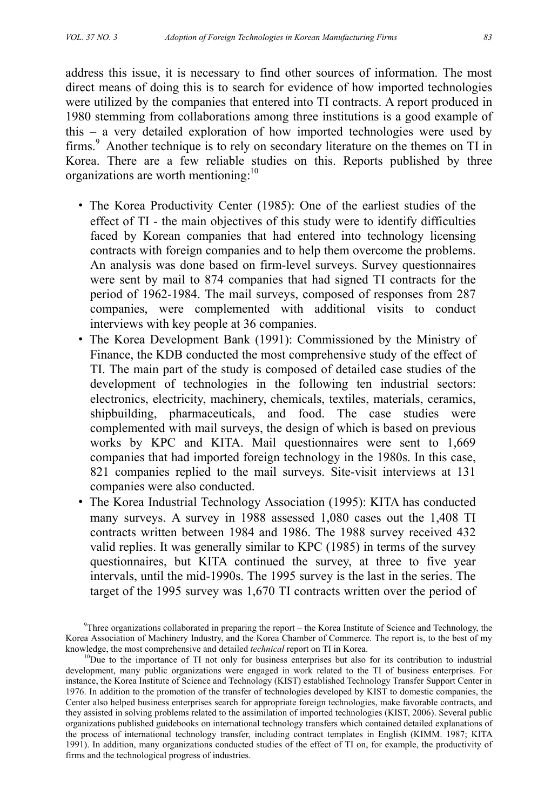address this issue, it is necessary to find other sources of information. The most direct means of doing this is to search for evidence of how imported technologies were utilized by the companies that entered into TI contracts. A report produced in 1980 stemming from collaborations among three institutions is a good example of this – a very detailed exploration of how imported technologies were used by firms.<sup>9</sup> Another technique is to rely on secondary literature on the themes on TI in Korea. There are a few reliable studies on this. Reports published by three organizations are worth mentioning:<sup>10</sup>

- The Korea Productivity Center (1985): One of the earliest studies of the effect of TI - the main objectives of this study were to identify difficulties faced by Korean companies that had entered into technology licensing contracts with foreign companies and to help them overcome the problems. An analysis was done based on firm-level surveys. Survey questionnaires were sent by mail to 874 companies that had signed TI contracts for the period of 1962-1984. The mail surveys, composed of responses from 287 companies, were complemented with additional visits to conduct interviews with key people at 36 companies.
- The Korea Development Bank (1991): Commissioned by the Ministry of Finance, the KDB conducted the most comprehensive study of the effect of TI. The main part of the study is composed of detailed case studies of the development of technologies in the following ten industrial sectors: electronics, electricity, machinery, chemicals, textiles, materials, ceramics, shipbuilding, pharmaceuticals, and food. The case studies were complemented with mail surveys, the design of which is based on previous works by KPC and KITA. Mail questionnaires were sent to 1,669 companies that had imported foreign technology in the 1980s. In this case, 821 companies replied to the mail surveys. Site-visit interviews at 131 companies were also conducted.
- The Korea Industrial Technology Association (1995): KITA has conducted many surveys. A survey in 1988 assessed 1,080 cases out the 1,408 TI contracts written between 1984 and 1986. The 1988 survey received 432 valid replies. It was generally similar to KPC (1985) in terms of the survey questionnaires, but KITA continued the survey, at three to five year intervals, until the mid-1990s. The 1995 survey is the last in the series. The target of the 1995 survey was 1,670 TI contracts written over the period of

<sup>9</sup> Three organizations collaborated in preparing the report – the Korea Institute of Science and Technology, the Korea Association of Machinery Industry, and the Korea Chamber of Commerce. The report is, to the best of my knowledge, the most comprehensive and detailed *technical* report on TI in Korea.<br><sup>10</sup>Due to the importance of TI not only for business enterprises but also for its contribution to industrial

development, many public organizations were engaged in work related to the TI of business enterprises. For instance, the Korea Institute of Science and Technology (KIST) established Technology Transfer Support Center in 1976. In addition to the promotion of the transfer of technologies developed by KIST to domestic companies, the Center also helped business enterprises search for appropriate foreign technologies, make favorable contracts, and they assisted in solving problems related to the assimilation of imported technologies (KIST, 2006). Several public organizations published guidebooks on international technology transfers which contained detailed explanations of the process of international technology transfer, including contract templates in English (KIMM. 1987; KITA 1991). In addition, many organizations conducted studies of the effect of TI on, for example, the productivity of firms and the technological progress of industries.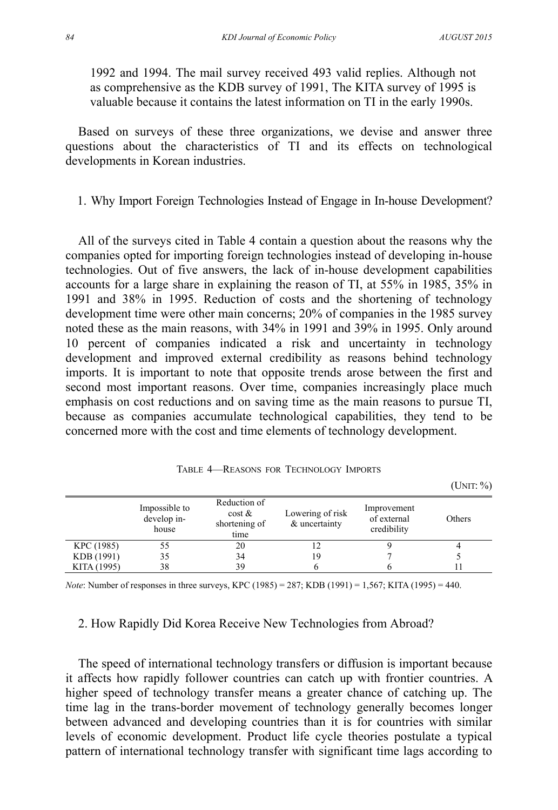(UNIT: %)

1992 and 1994. The mail survey received 493 valid replies. Although not as comprehensive as the KDB survey of 1991, The KITA survey of 1995 is valuable because it contains the latest information on TI in the early 1990s.

Based on surveys of these three organizations, we devise and answer three questions about the characteristics of TI and its effects on technological developments in Korean industries.

## 1. Why Import Foreign Technologies Instead of Engage in In-house Development?

All of the surveys cited in Table 4 contain a question about the reasons why the companies opted for importing foreign technologies instead of developing in-house technologies. Out of five answers, the lack of in-house development capabilities accounts for a large share in explaining the reason of TI, at 55% in 1985, 35% in 1991 and 38% in 1995. Reduction of costs and the shortening of technology development time were other main concerns; 20% of companies in the 1985 survey noted these as the main reasons, with 34% in 1991 and 39% in 1995. Only around 10 percent of companies indicated a risk and uncertainty in technology development and improved external credibility as reasons behind technology imports. It is important to note that opposite trends arose between the first and second most important reasons. Over time, companies increasingly place much emphasis on cost reductions and on saving time as the main reasons to pursue TI, because as companies accumulate technological capabilities, they tend to be concerned more with the cost and time elements of technology development.

|             | Impossible to<br>develop in-<br>house | Reduction of<br>$\cos t \&$<br>shortening of<br>time | Lowering of risk<br>& uncertainty | Improvement<br>of external<br>credibility | Others |
|-------------|---------------------------------------|------------------------------------------------------|-----------------------------------|-------------------------------------------|--------|
| KPC (1985)  |                                       | 20                                                   |                                   |                                           |        |
| KDB (1991)  | 35                                    | 34                                                   | 19                                |                                           |        |
| KITA (1995) | 38                                    | 39                                                   |                                   |                                           |        |

TABLE 4—REASONS FOR TECHNOLOGY IMPORTS

*Note*: Number of responses in three surveys, KPC (1985) = 287; KDB (1991) = 1,567; KITA (1995) = 440.

## 2. How Rapidly Did Korea Receive New Technologies from Abroad?

The speed of international technology transfers or diffusion is important because it affects how rapidly follower countries can catch up with frontier countries. A higher speed of technology transfer means a greater chance of catching up. The time lag in the trans-border movement of technology generally becomes longer between advanced and developing countries than it is for countries with similar levels of economic development. Product life cycle theories postulate a typical pattern of international technology transfer with significant time lags according to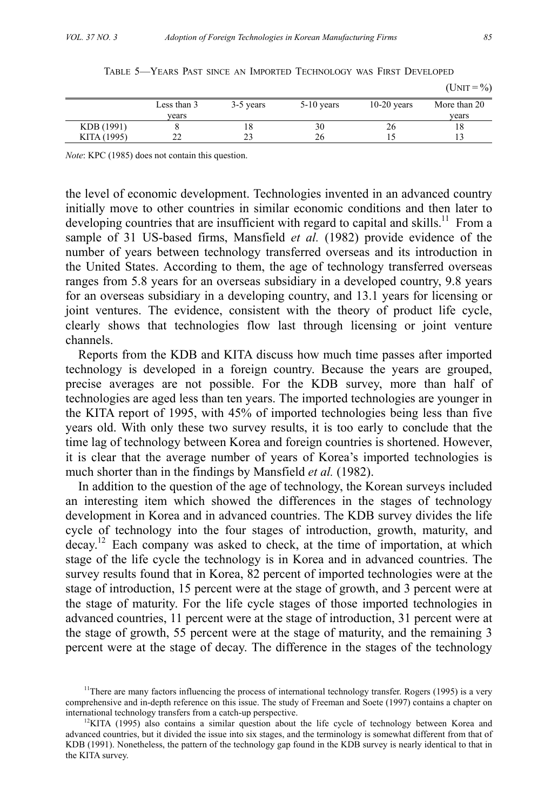|             | Less than 3 | 3-5 years | $5-10$ years | $10-20$ years | More than 20 |
|-------------|-------------|-----------|--------------|---------------|--------------|
|             | vears       |           |              |               | vears        |
| KDB (1991)  |             | 18        | 30           | ۷b            | 18           |
| KITA (1995) | ∸           | ت سک      | 26           |               |              |

TABLE 5—YEARS PAST SINCE AN IMPORTED TECHNOLOGY WAS FIRST DEVELOPED

*Note*: KPC (1985) does not contain this question.

the level of economic development. Technologies invented in an advanced country initially move to other countries in similar economic conditions and then later to developing countries that are insufficient with regard to capital and skills.<sup>11</sup> From a sample of 31 US-based firms, Mansfield *et al.* (1982) provide evidence of the number of years between technology transferred overseas and its introduction in the United States. According to them, the age of technology transferred overseas ranges from 5.8 years for an overseas subsidiary in a developed country, 9.8 years for an overseas subsidiary in a developing country, and 13.1 years for licensing or joint ventures. The evidence, consistent with the theory of product life cycle, clearly shows that technologies flow last through licensing or joint venture channels.

Reports from the KDB and KITA discuss how much time passes after imported technology is developed in a foreign country. Because the years are grouped, precise averages are not possible. For the KDB survey, more than half of technologies are aged less than ten years. The imported technologies are younger in the KITA report of 1995, with 45% of imported technologies being less than five years old. With only these two survey results, it is too early to conclude that the time lag of technology between Korea and foreign countries is shortened. However, it is clear that the average number of years of Korea's imported technologies is much shorter than in the findings by Mansfield *et al.* (1982).

In addition to the question of the age of technology, the Korean surveys included an interesting item which showed the differences in the stages of technology development in Korea and in advanced countries. The KDB survey divides the life cycle of technology into the four stages of introduction, growth, maturity, and decay.12 Each company was asked to check, at the time of importation, at which stage of the life cycle the technology is in Korea and in advanced countries. The survey results found that in Korea, 82 percent of imported technologies were at the stage of introduction, 15 percent were at the stage of growth, and 3 percent were at the stage of maturity. For the life cycle stages of those imported technologies in advanced countries, 11 percent were at the stage of introduction, 31 percent were at the stage of growth, 55 percent were at the stage of maturity, and the remaining 3 percent were at the stage of decay. The difference in the stages of the technology

 $(UNIT = %)$ 

<sup>&</sup>lt;sup>11</sup>There are many factors influencing the process of international technology transfer. Rogers (1995) is a very comprehensive and in-depth reference on this issue. The study of Freeman and Soete (1997) contains a chapter on international technology transfers from a catch-up perspective.<br><sup>12</sup>KITA (1995) also contains a similar question about the life cycle of technology between Korea and

advanced countries, but it divided the issue into six stages, and the terminology is somewhat different from that of KDB (1991). Nonetheless, the pattern of the technology gap found in the KDB survey is nearly identical to that in the KITA survey.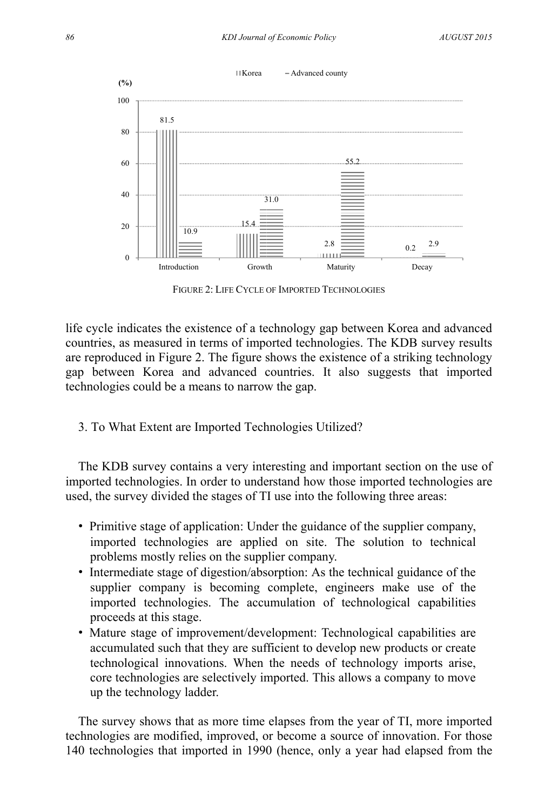

FIGURE 2: LIFE CYCLE OF IMPORTED TECHNOLOGIES

life cycle indicates the existence of a technology gap between Korea and advanced countries, as measured in terms of imported technologies. The KDB survey results are reproduced in Figure 2. The figure shows the existence of a striking technology gap between Korea and advanced countries. It also suggests that imported technologies could be a means to narrow the gap.

3. To What Extent are Imported Technologies Utilized?

The KDB survey contains a very interesting and important section on the use of imported technologies. In order to understand how those imported technologies are used, the survey divided the stages of TI use into the following three areas:

- Primitive stage of application: Under the guidance of the supplier company, imported technologies are applied on site. The solution to technical problems mostly relies on the supplier company.
- Intermediate stage of digestion/absorption: As the technical guidance of the supplier company is becoming complete, engineers make use of the imported technologies. The accumulation of technological capabilities proceeds at this stage.
- Mature stage of improvement/development: Technological capabilities are accumulated such that they are sufficient to develop new products or create technological innovations. When the needs of technology imports arise, core technologies are selectively imported. This allows a company to move up the technology ladder.

The survey shows that as more time elapses from the year of TI, more imported technologies are modified, improved, or become a source of innovation. For those 140 technologies that imported in 1990 (hence, only a year had elapsed from the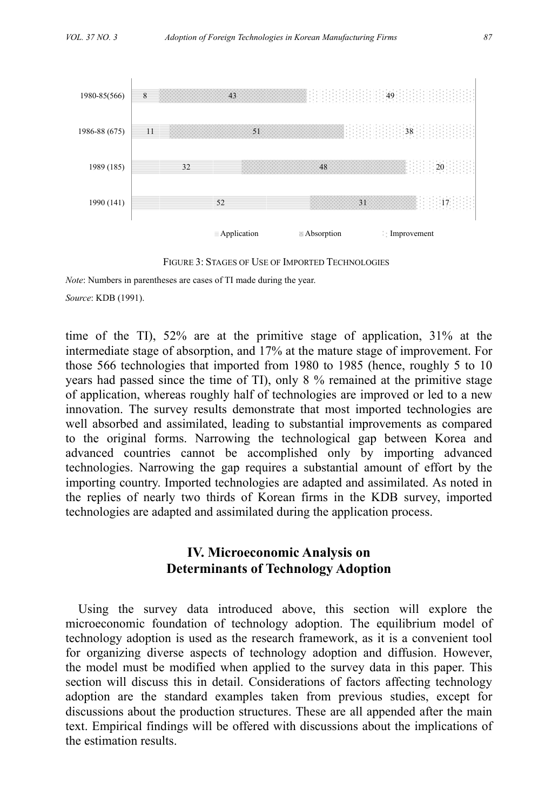

FIGURE 3: STAGES OF USE OF IMPORTED TECHNOLOGIES

*Note*: Numbers in parentheses are cases of TI made during the year.

*Source*: KDB (1991).

time of the TI), 52% are at the primitive stage of application, 31% at the intermediate stage of absorption, and 17% at the mature stage of improvement. For those 566 technologies that imported from 1980 to 1985 (hence, roughly 5 to 10 years had passed since the time of TI), only 8 % remained at the primitive stage of application, whereas roughly half of technologies are improved or led to a new innovation. The survey results demonstrate that most imported technologies are well absorbed and assimilated, leading to substantial improvements as compared to the original forms. Narrowing the technological gap between Korea and advanced countries cannot be accomplished only by importing advanced technologies. Narrowing the gap requires a substantial amount of effort by the importing country. Imported technologies are adapted and assimilated. As noted in the replies of nearly two thirds of Korean firms in the KDB survey, imported technologies are adapted and assimilated during the application process.

## **IV. Microeconomic Analysis on Determinants of Technology Adoption**

Using the survey data introduced above, this section will explore the microeconomic foundation of technology adoption. The equilibrium model of technology adoption is used as the research framework, as it is a convenient tool for organizing diverse aspects of technology adoption and diffusion. However, the model must be modified when applied to the survey data in this paper. This section will discuss this in detail. Considerations of factors affecting technology adoption are the standard examples taken from previous studies, except for discussions about the production structures. These are all appended after the main text. Empirical findings will be offered with discussions about the implications of the estimation results.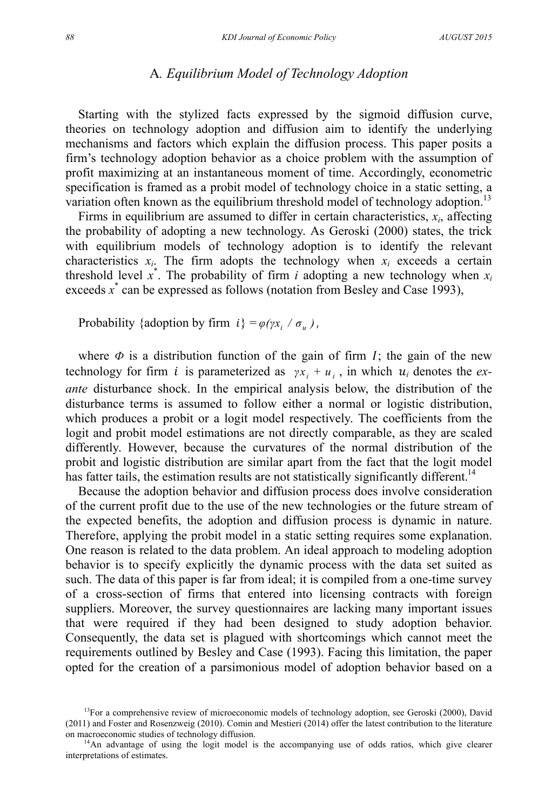## A*. Equilibrium Model of Technology Adoption*

Starting with the stylized facts expressed by the sigmoid diffusion curve, theories on technology adoption and diffusion aim to identify the underlying mechanisms and factors which explain the diffusion process. This paper posits a firm's technology adoption behavior as a choice problem with the assumption of profit maximizing at an instantaneous moment of time. Accordingly, econometric specification is framed as a probit model of technology choice in a static setting, a variation often known as the equilibrium threshold model of technology adoption.<sup>13</sup>

Firms in equilibrium are assumed to differ in certain characteristics,  $x_i$ , affecting the probability of adopting a new technology. As Geroski (2000) states, the trick with equilibrium models of technology adoption is to identify the relevant characteristics  $x_i$ . The firm adopts the technology when  $x_i$  exceeds a certain threshold level  $x^*$ . The probability of firm *i* adopting a new technology when  $x_i$ exceeds  $\vec{x}$  can be expressed as follows (notation from Besley and Case 1993),

Probability {adoption by firm  $i$ } =  $\varphi(\gamma x_i / \sigma_u)$ ,

where  $\Phi$  is a distribution function of the gain of firm  $I$ ; the gain of the new technology for firm *i* is parameterized as  $yx_i + u_i$ , in which  $u_i$  denotes the *exante* disturbance shock. In the empirical analysis below, the distribution of the disturbance terms is assumed to follow either a normal or logistic distribution, which produces a probit or a logit model respectively. The coefficients from the logit and probit model estimations are not directly comparable, as they are scaled differently. However, because the curvatures of the normal distribution of the probit and logistic distribution are similar apart from the fact that the logit model has fatter tails, the estimation results are not statistically significantly different.<sup>14</sup>

Because the adoption behavior and diffusion process does involve consideration of the current profit due to the use of the new technologies or the future stream of the expected benefits, the adoption and diffusion process is dynamic in nature. Therefore, applying the probit model in a static setting requires some explanation. One reason is related to the data problem. An ideal approach to modeling adoption behavior is to specify explicitly the dynamic process with the data set suited as such. The data of this paper is far from ideal; it is compiled from a one-time survey of a cross-section of firms that entered into licensing contracts with foreign suppliers. Moreover, the survey questionnaires are lacking many important issues that were required if they had been designed to study adoption behavior. Consequently, the data set is plagued with shortcomings which cannot meet the requirements outlined by Besley and Case (1993). Facing this limitation, the paper opted for the creation of a parsimonious model of adoption behavior based on a

 $13$ For a comprehensive review of microeconomic models of technology adoption, see Geroski (2000), David (2011) and Foster and Rosenzweig (2010). Comin and Mestieri (2014) offer the latest contribution to the literature on macroeconomic studies of technology diffusion.<br><sup>14</sup>An advantage of using the logit model is the accompanying use of odds ratios, which give clearer

interpretations of estimates.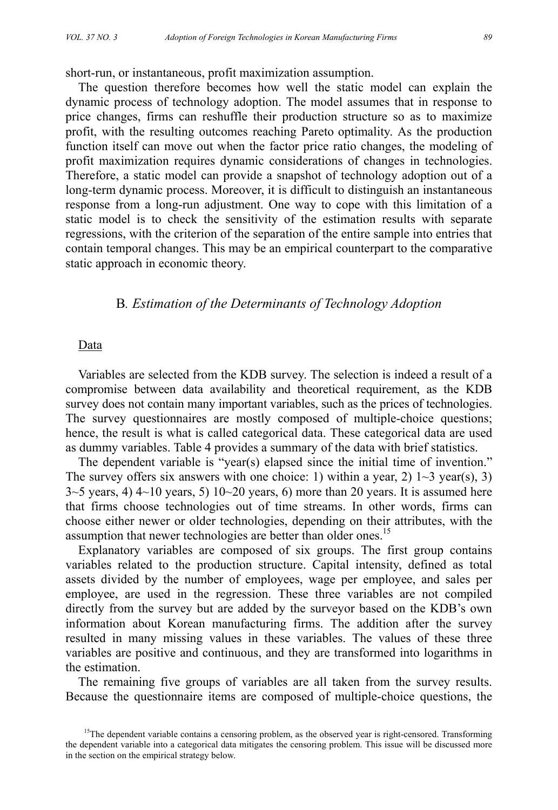short-run, or instantaneous, profit maximization assumption.

The question therefore becomes how well the static model can explain the dynamic process of technology adoption. The model assumes that in response to price changes, firms can reshuffle their production structure so as to maximize profit, with the resulting outcomes reaching Pareto optimality. As the production function itself can move out when the factor price ratio changes, the modeling of profit maximization requires dynamic considerations of changes in technologies. Therefore, a static model can provide a snapshot of technology adoption out of a long-term dynamic process. Moreover, it is difficult to distinguish an instantaneous response from a long-run adjustment. One way to cope with this limitation of a static model is to check the sensitivity of the estimation results with separate regressions, with the criterion of the separation of the entire sample into entries that contain temporal changes. This may be an empirical counterpart to the comparative static approach in economic theory.

## B*. Estimation of the Determinants of Technology Adoption*

#### Data

Variables are selected from the KDB survey. The selection is indeed a result of a compromise between data availability and theoretical requirement, as the KDB survey does not contain many important variables, such as the prices of technologies. The survey questionnaires are mostly composed of multiple-choice questions; hence, the result is what is called categorical data. These categorical data are used as dummy variables. Table 4 provides a summary of the data with brief statistics.

The dependent variable is "year(s) elapsed since the initial time of invention." The survey offers six answers with one choice: 1) within a year, 2)  $1\sim 3$  year(s), 3)  $3-5$  years, 4)  $4-10$  years, 5)  $10-20$  years, 6) more than 20 years. It is assumed here that firms choose technologies out of time streams. In other words, firms can choose either newer or older technologies, depending on their attributes, with the assumption that newer technologies are better than older ones.<sup>15</sup>

Explanatory variables are composed of six groups. The first group contains variables related to the production structure. Capital intensity, defined as total assets divided by the number of employees, wage per employee, and sales per employee, are used in the regression. These three variables are not compiled directly from the survey but are added by the surveyor based on the KDB's own information about Korean manufacturing firms. The addition after the survey resulted in many missing values in these variables. The values of these three variables are positive and continuous, and they are transformed into logarithms in the estimation.

The remaining five groups of variables are all taken from the survey results. Because the questionnaire items are composed of multiple-choice questions, the

<sup>&</sup>lt;sup>15</sup>The dependent variable contains a censoring problem, as the observed year is right-censored. Transforming the dependent variable into a categorical data mitigates the censoring problem. This issue will be discussed more in the section on the empirical strategy below.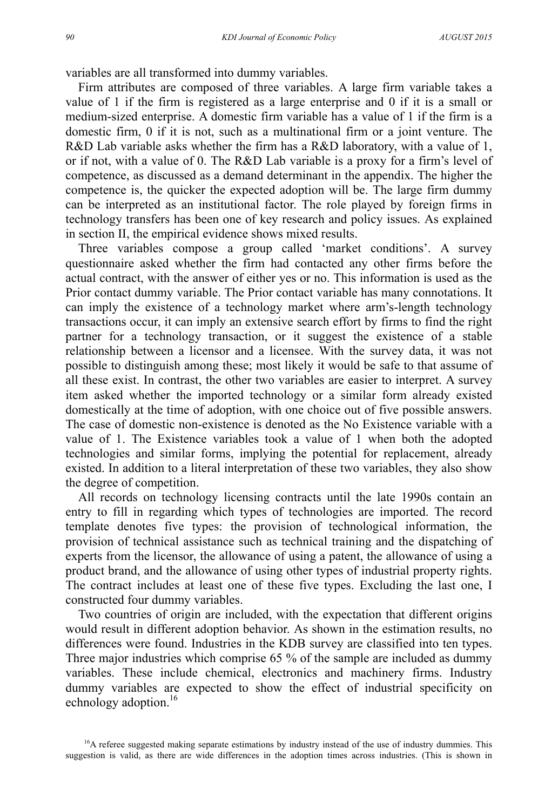variables are all transformed into dummy variables.

Firm attributes are composed of three variables. A large firm variable takes a value of 1 if the firm is registered as a large enterprise and 0 if it is a small or medium-sized enterprise. A domestic firm variable has a value of 1 if the firm is a domestic firm, 0 if it is not, such as a multinational firm or a joint venture. The R&D Lab variable asks whether the firm has a R&D laboratory, with a value of 1, or if not, with a value of 0. The R&D Lab variable is a proxy for a firm's level of competence, as discussed as a demand determinant in the appendix. The higher the competence is, the quicker the expected adoption will be. The large firm dummy can be interpreted as an institutional factor. The role played by foreign firms in technology transfers has been one of key research and policy issues. As explained in section II, the empirical evidence shows mixed results.

Three variables compose a group called 'market conditions'. A survey questionnaire asked whether the firm had contacted any other firms before the actual contract, with the answer of either yes or no. This information is used as the Prior contact dummy variable. The Prior contact variable has many connotations. It can imply the existence of a technology market where arm's-length technology transactions occur, it can imply an extensive search effort by firms to find the right partner for a technology transaction, or it suggest the existence of a stable relationship between a licensor and a licensee. With the survey data, it was not possible to distinguish among these; most likely it would be safe to that assume of all these exist. In contrast, the other two variables are easier to interpret. A survey item asked whether the imported technology or a similar form already existed domestically at the time of adoption, with one choice out of five possible answers. The case of domestic non-existence is denoted as the No Existence variable with a value of 1. The Existence variables took a value of 1 when both the adopted technologies and similar forms, implying the potential for replacement, already existed. In addition to a literal interpretation of these two variables, they also show the degree of competition.

All records on technology licensing contracts until the late 1990s contain an entry to fill in regarding which types of technologies are imported. The record template denotes five types: the provision of technological information, the provision of technical assistance such as technical training and the dispatching of experts from the licensor, the allowance of using a patent, the allowance of using a product brand, and the allowance of using other types of industrial property rights. The contract includes at least one of these five types. Excluding the last one, I constructed four dummy variables.

Two countries of origin are included, with the expectation that different origins would result in different adoption behavior. As shown in the estimation results, no differences were found. Industries in the KDB survey are classified into ten types. Three major industries which comprise 65 % of the sample are included as dummy variables. These include chemical, electronics and machinery firms. Industry dummy variables are expected to show the effect of industrial specificity on echnology adoption.<sup>16</sup>

<sup>&</sup>lt;sup>16</sup>A referee suggested making separate estimations by industry instead of the use of industry dummies. This suggestion is valid, as there are wide differences in the adoption times across industries. (This is shown in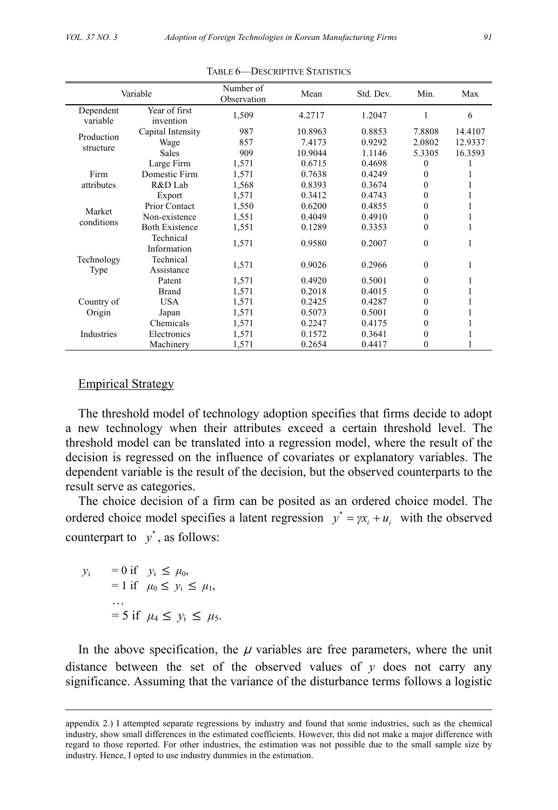| Variable              |                            | Number of<br>Observation | Mean    | Std. Dev. | Min.         | Max     |
|-----------------------|----------------------------|--------------------------|---------|-----------|--------------|---------|
| Dependent<br>variable | Year of first<br>invention | 1,509                    | 4.2717  | 1.2047    |              | 6       |
| Production            | Capital Intensity          | 987                      | 10.8963 | 0.8853    | 7.8808       | 14.4107 |
| structure             | Wage                       | 857                      | 7.4173  | 0.9292    | 2.0802       | 12.9337 |
|                       | <b>Sales</b>               | 909                      | 10.9044 | 1.1146    | 5.3305       | 16.3593 |
|                       | Large Firm                 | 1,571                    | 0.6715  | 0.4698    | 0            |         |
| Firm                  | Domestic Firm              | 1,571                    | 0.7638  | 0.4249    | 0            |         |
| attributes            | R&D Lab                    | 1,568                    | 0.8393  | 0.3674    | 0            |         |
|                       | Export                     | 1,571                    | 0.3412  | 0.4743    | 0            |         |
| Market                | Prior Contact              | 1,550                    | 0.6200  | 0.4855    | $\theta$     |         |
| conditions            | Non-existence              | 1,551                    | 0.4049  | 0.4910    | 0            |         |
|                       | <b>Both Existence</b>      | 1,551                    | 0.1289  | 0.3353    | $\theta$     |         |
|                       | Technical<br>Information   | 1,571                    | 0.9580  | 0.2007    | $\Omega$     |         |
| Technology<br>Type    | Technical<br>Assistance    | 1,571                    | 0.9026  | 0.2966    | $\Omega$     | 1       |
|                       | Patent                     | 1,571                    | 0.4920  | 0.5001    | $\Omega$     |         |
|                       | <b>Brand</b>               | 1,571                    | 0.2018  | 0.4015    | 0            |         |
| Country of            | USA                        | 1,571                    | 0.2425  | 0.4287    | 0            |         |
| Origin                | Japan                      | 1,571                    | 0.5073  | 0.5001    | $\mathbf{0}$ |         |
|                       | Chemicals                  | 1,571                    | 0.2247  | 0.4175    | 0            |         |
| Industries            | Electronics                | 1,571                    | 0.1572  | 0.3641    | 0            |         |
|                       | Machinery                  | 1,571                    | 0.2654  | 0.4417    | $\theta$     |         |

TABLE 6—DESCRIPTIVE STATISTICS

#### Empirical Strategy

The threshold model of technology adoption specifies that firms decide to adopt a new technology when their attributes exceed a certain threshold level. The threshold model can be translated into a regression model, where the result of the decision is regressed on the influence of covariates or explanatory variables. The dependent variable is the result of the decision, but the observed counterparts to the result serve as categories.

The choice decision of a firm can be posited as an ordered choice model. The ordered choice model specifies a latent regression  $y^* = \gamma x_i + u_i$  with the observed counterpart to  $v^*$ , as follows:

$$
y_i = 0 \text{ if } y_i \le \mu_0,
$$
  
= 1 if  $\mu_0 \le y_i \le \mu_1,$   
...  
= 5 if  $\mu_4 \le y_i \le \mu_5.$ 

In the above specification, the  $\mu$  variables are free parameters, where the unit distance between the set of the observed values of  $\gamma$  does not carry any significance. Assuming that the variance of the disturbance terms follows a logistic

appendix 2.) I attempted separate regressions by industry and found that some industries, such as the chemical industry, show small differences in the estimated coefficients. However, this did not make a major difference with regard to those reported. For other industries, the estimation was not possible due to the small sample size by industry. Hence, I opted to use industry dummies in the estimation.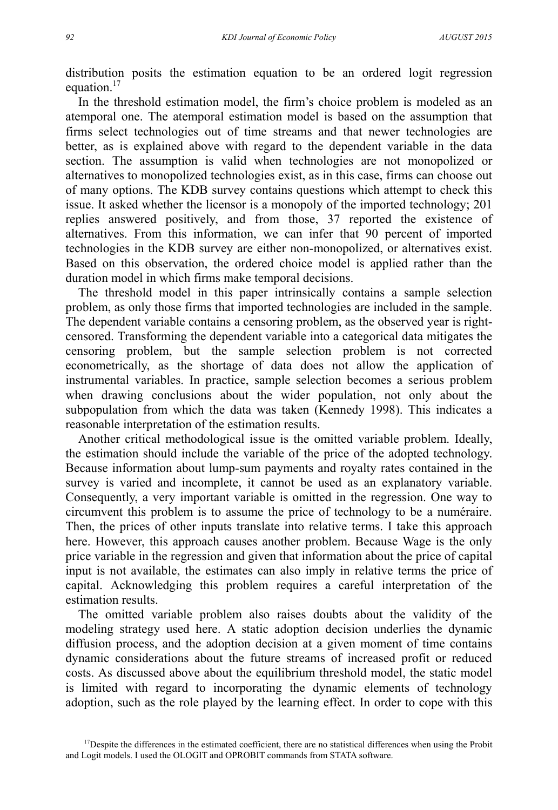distribution posits the estimation equation to be an ordered logit regression equation.<sup>17</sup>

In the threshold estimation model, the firm's choice problem is modeled as an atemporal one. The atemporal estimation model is based on the assumption that firms select technologies out of time streams and that newer technologies are better, as is explained above with regard to the dependent variable in the data section. The assumption is valid when technologies are not monopolized or alternatives to monopolized technologies exist, as in this case, firms can choose out of many options. The KDB survey contains questions which attempt to check this issue. It asked whether the licensor is a monopoly of the imported technology; 201 replies answered positively, and from those, 37 reported the existence of alternatives. From this information, we can infer that 90 percent of imported technologies in the KDB survey are either non-monopolized, or alternatives exist. Based on this observation, the ordered choice model is applied rather than the duration model in which firms make temporal decisions.

The threshold model in this paper intrinsically contains a sample selection problem, as only those firms that imported technologies are included in the sample. The dependent variable contains a censoring problem, as the observed year is rightcensored. Transforming the dependent variable into a categorical data mitigates the censoring problem, but the sample selection problem is not corrected econometrically, as the shortage of data does not allow the application of instrumental variables. In practice, sample selection becomes a serious problem when drawing conclusions about the wider population, not only about the subpopulation from which the data was taken (Kennedy 1998). This indicates a reasonable interpretation of the estimation results.

Another critical methodological issue is the omitted variable problem. Ideally, the estimation should include the variable of the price of the adopted technology. Because information about lump-sum payments and royalty rates contained in the survey is varied and incomplete, it cannot be used as an explanatory variable. Consequently, a very important variable is omitted in the regression. One way to circumvent this problem is to assume the price of technology to be a numéraire. Then, the prices of other inputs translate into relative terms. I take this approach here. However, this approach causes another problem. Because Wage is the only price variable in the regression and given that information about the price of capital input is not available, the estimates can also imply in relative terms the price of capital. Acknowledging this problem requires a careful interpretation of the estimation results.

The omitted variable problem also raises doubts about the validity of the modeling strategy used here. A static adoption decision underlies the dynamic diffusion process, and the adoption decision at a given moment of time contains dynamic considerations about the future streams of increased profit or reduced costs. As discussed above about the equilibrium threshold model, the static model is limited with regard to incorporating the dynamic elements of technology adoption, such as the role played by the learning effect. In order to cope with this

 $17$ Despite the differences in the estimated coefficient, there are no statistical differences when using the Probit and Logit models. I used the OLOGIT and OPROBIT commands from STATA software.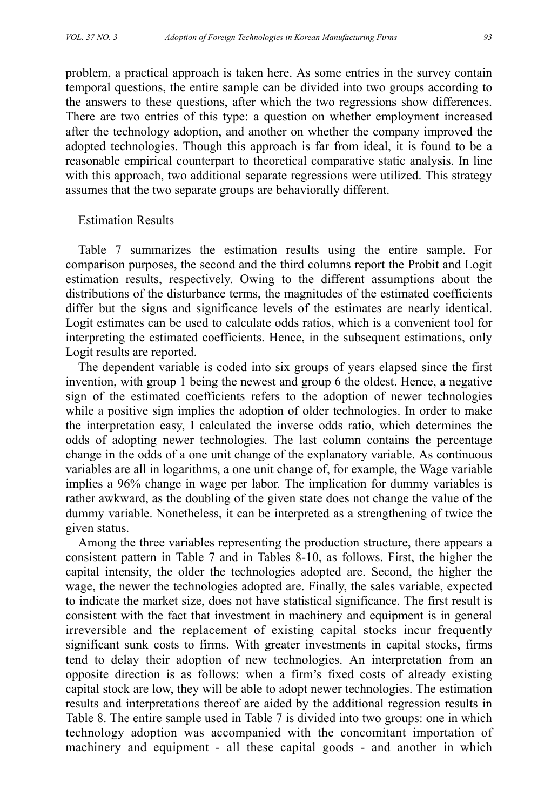problem, a practical approach is taken here. As some entries in the survey contain temporal questions, the entire sample can be divided into two groups according to the answers to these questions, after which the two regressions show differences. There are two entries of this type: a question on whether employment increased after the technology adoption, and another on whether the company improved the adopted technologies. Though this approach is far from ideal, it is found to be a reasonable empirical counterpart to theoretical comparative static analysis. In line with this approach, two additional separate regressions were utilized. This strategy assumes that the two separate groups are behaviorally different.

#### Estimation Results

Table 7 summarizes the estimation results using the entire sample. For comparison purposes, the second and the third columns report the Probit and Logit estimation results, respectively. Owing to the different assumptions about the distributions of the disturbance terms, the magnitudes of the estimated coefficients differ but the signs and significance levels of the estimates are nearly identical. Logit estimates can be used to calculate odds ratios, which is a convenient tool for interpreting the estimated coefficients. Hence, in the subsequent estimations, only Logit results are reported.

The dependent variable is coded into six groups of years elapsed since the first invention, with group 1 being the newest and group 6 the oldest. Hence, a negative sign of the estimated coefficients refers to the adoption of newer technologies while a positive sign implies the adoption of older technologies. In order to make the interpretation easy, I calculated the inverse odds ratio, which determines the odds of adopting newer technologies. The last column contains the percentage change in the odds of a one unit change of the explanatory variable. As continuous variables are all in logarithms, a one unit change of, for example, the Wage variable implies a 96% change in wage per labor. The implication for dummy variables is rather awkward, as the doubling of the given state does not change the value of the dummy variable. Nonetheless, it can be interpreted as a strengthening of twice the given status.

Among the three variables representing the production structure, there appears a consistent pattern in Table 7 and in Tables 8-10, as follows. First, the higher the capital intensity, the older the technologies adopted are. Second, the higher the wage, the newer the technologies adopted are. Finally, the sales variable, expected to indicate the market size, does not have statistical significance. The first result is consistent with the fact that investment in machinery and equipment is in general irreversible and the replacement of existing capital stocks incur frequently significant sunk costs to firms. With greater investments in capital stocks, firms tend to delay their adoption of new technologies. An interpretation from an opposite direction is as follows: when a firm's fixed costs of already existing capital stock are low, they will be able to adopt newer technologies. The estimation results and interpretations thereof are aided by the additional regression results in Table 8. The entire sample used in Table 7 is divided into two groups: one in which technology adoption was accompanied with the concomitant importation of machinery and equipment - all these capital goods - and another in which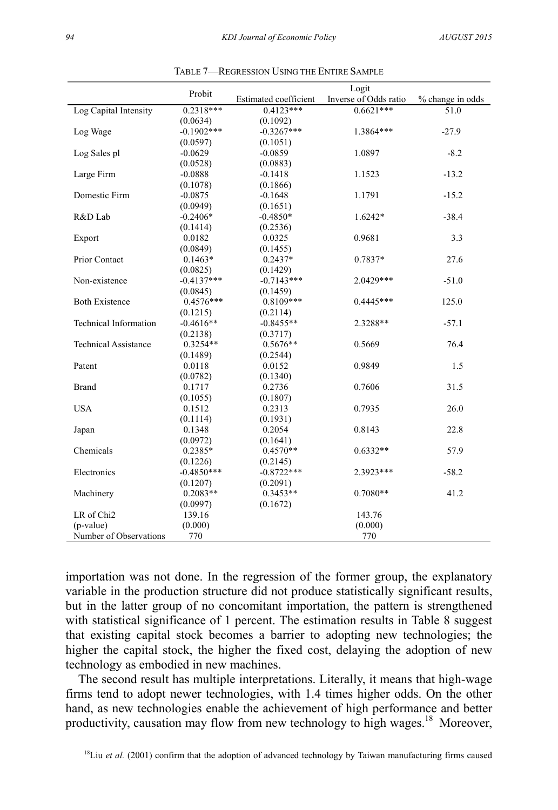|                              | Probit        |                              |                       |                  |
|------------------------------|---------------|------------------------------|-----------------------|------------------|
|                              |               | <b>Estimated coefficient</b> | Inverse of Odds ratio | % change in odds |
| Log Capital Intensity        | $0.2318***$   | $0.4123***$                  | $0.6621***$           | 51.0             |
|                              | (0.0634)      | (0.1092)                     |                       |                  |
| Log Wage                     | $-0.1902$ *** | $-0.3267***$                 | 1.3864***             | $-27.9$          |
|                              | (0.0597)      | (0.1051)                     |                       |                  |
| Log Sales pl                 | $-0.0629$     | $-0.0859$                    | 1.0897                | $-8.2$           |
|                              | (0.0528)      | (0.0883)                     |                       |                  |
| Large Firm                   | $-0.0888$     | $-0.1418$                    | 1.1523                | $-13.2$          |
|                              | (0.1078)      | (0.1866)                     |                       |                  |
| Domestic Firm                | $-0.0875$     | $-0.1648$                    | 1.1791                | $-15.2$          |
|                              | (0.0949)      | (0.1651)                     |                       |                  |
| R&D Lab                      | $-0.2406*$    | $-0.4850*$                   | $1.6242*$             | $-38.4$          |
|                              | (0.1414)      | (0.2536)                     |                       |                  |
| Export                       | 0.0182        | 0.0325                       | 0.9681                | 3.3              |
|                              | (0.0849)      | (0.1455)                     |                       |                  |
| Prior Contact                | $0.1463*$     | $0.2437*$                    | 0.7837*               | 27.6             |
|                              | (0.0825)      | (0.1429)                     |                       |                  |
| Non-existence                | $-0.4137***$  | $-0.7143***$                 | 2.0429***             | $-51.0$          |
|                              | (0.0845)      | (0.1459)                     |                       |                  |
| <b>Both Existence</b>        | $0.4576***$   | $0.8109***$                  | $0.4445***$           | 125.0            |
|                              | (0.1215)      | (0.2114)                     |                       |                  |
| <b>Technical Information</b> | $-0.4616**$   | $-0.8455**$                  | 2.3288**              | $-57.1$          |
|                              | (0.2138)      | (0.3717)                     |                       |                  |
| <b>Technical Assistance</b>  | $0.3254**$    | $0.5676**$                   | 0.5669                | 76.4             |
|                              | (0.1489)      | (0.2544)                     |                       |                  |
| Patent                       | 0.0118        | 0.0152                       | 0.9849                | 1.5              |
|                              | (0.0782)      | (0.1340)                     |                       |                  |
| <b>Brand</b>                 | 0.1717        | 0.2736                       | 0.7606                | 31.5             |
|                              | (0.1055)      | (0.1807)                     |                       |                  |
| <b>USA</b>                   | 0.1512        | 0.2313                       | 0.7935                | 26.0             |
|                              | (0.1114)      | (0.1931)                     |                       |                  |
| Japan                        | 0.1348        | 0.2054                       | 0.8143                | 22.8             |
|                              | (0.0972)      | (0.1641)                     |                       |                  |
| Chemicals                    | $0.2385*$     | $0.4570**$                   | $0.6332**$            | 57.9             |
|                              | (0.1226)      | (0.2145)                     |                       |                  |
| Electronics                  | $-0.4850***$  | $-0.8722***$                 | 2.3923***             | $-58.2$          |
|                              | (0.1207)      | (0.2091)                     |                       |                  |
| Machinery                    | $0.2083**$    | $0.3453**$                   | $0.7080**$            | 41.2             |
|                              | (0.0997)      | (0.1672)                     |                       |                  |
| LR of Chi <sub>2</sub>       | 139.16        |                              | 143.76                |                  |
| $(p-value)$                  | (0.000)       |                              | (0.000)               |                  |
| Number of Observations       | 770           |                              | 770                   |                  |
|                              |               |                              |                       |                  |

TABLE 7—REGRESSION USING THE ENTIRE SAMPLE

importation was not done. In the regression of the former group, the explanatory variable in the production structure did not produce statistically significant results, but in the latter group of no concomitant importation, the pattern is strengthened with statistical significance of 1 percent. The estimation results in Table 8 suggest that existing capital stock becomes a barrier to adopting new technologies; the higher the capital stock, the higher the fixed cost, delaying the adoption of new technology as embodied in new machines.

The second result has multiple interpretations. Literally, it means that high-wage firms tend to adopt newer technologies, with 1.4 times higher odds. On the other hand, as new technologies enable the achievement of high performance and better productivity, causation may flow from new technology to high wages.<sup>18</sup> Moreover,

<sup>18</sup>Liu et al. (2001) confirm that the adoption of advanced technology by Taiwan manufacturing firms caused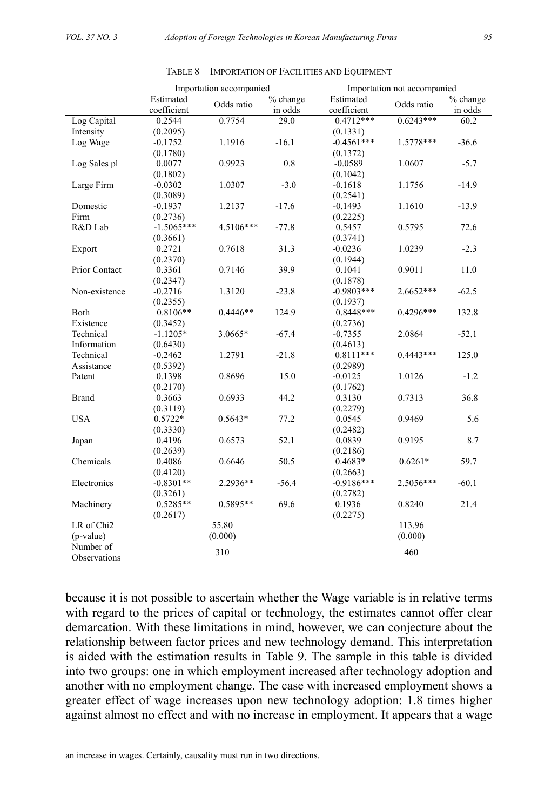|                        | Importation accompanied |            |            | Importation not accompanied |             |          |  |
|------------------------|-------------------------|------------|------------|-----------------------------|-------------|----------|--|
|                        | Estimated               |            | $%$ change | Estimated                   |             | % change |  |
|                        | coefficient             | Odds ratio | in odds    | coefficient                 | Odds ratio  | in odds  |  |
| Log Capital            | 0.2544                  | 0.7754     | 29.0       | $0.4712***$                 | $0.6243***$ | 60.2     |  |
| Intensity              | (0.2095)                |            |            | (0.1331)                    |             |          |  |
| Log Wage               | $-0.1752$               | 1.1916     | $-16.1$    | $-0.4561***$                | 1.5778***   | $-36.6$  |  |
|                        | (0.1780)                |            |            | (0.1372)                    |             |          |  |
| Log Sales pl           | 0.0077                  | 0.9923     | 0.8        | $-0.0589$                   | 1.0607      | $-5.7$   |  |
|                        | (0.1802)                |            |            | (0.1042)                    |             |          |  |
| Large Firm             | $-0.0302$               | 1.0307     | $-3.0$     | $-0.1618$                   | 1.1756      | $-14.9$  |  |
|                        | (0.3089)                |            |            | (0.2541)                    |             |          |  |
| Domestic               | $-0.1937$               | 1.2137     | $-17.6$    | $-0.1493$                   | 1.1610      | $-13.9$  |  |
| Firm                   | (0.2736)                |            |            | (0.2225)                    |             |          |  |
| R&D Lab                | $-1.5065***$            | 4.5106***  | $-77.8$    | 0.5457                      | 0.5795      | 72.6     |  |
|                        | (0.3661)                |            |            | (0.3741)                    |             |          |  |
| Export                 | 0.2721                  | 0.7618     | 31.3       | $-0.0236$                   | 1.0239      | $-2.3$   |  |
|                        | (0.2370)                |            |            | (0.1944)                    |             |          |  |
| Prior Contact          | 0.3361                  | 0.7146     | 39.9       | 0.1041                      | 0.9011      | 11.0     |  |
|                        | (0.2347)                |            |            | (0.1878)                    |             |          |  |
| Non-existence          | $-0.2716$               | 1.3120     | $-23.8$    | $-0.9803***$                | 2.6652***   | $-62.5$  |  |
|                        | (0.2355)                |            |            | (0.1937)                    |             |          |  |
| Both                   | 0.8106**                | $0.4446**$ | 124.9      | $0.8448***$                 | $0.4296***$ | 132.8    |  |
| Existence              | (0.3452)                |            |            | (0.2736)                    |             |          |  |
| Technical              | $-1.1205*$              | $3.0665*$  | $-67.4$    | $-0.7355$                   | 2.0864      | $-52.1$  |  |
| Information            | (0.6430)                |            |            | (0.4613)                    |             |          |  |
| Technical              | $-0.2462$               | 1.2791     | $-21.8$    | $0.8111***$                 | $0.4443***$ | 125.0    |  |
| Assistance             | (0.5392)                |            |            | (0.2989)                    |             |          |  |
| Patent                 | 0.1398                  | 0.8696     | 15.0       | $-0.0125$                   | 1.0126      | $-1.2$   |  |
|                        | (0.2170)                |            |            | (0.1762)                    |             |          |  |
| <b>Brand</b>           | 0.3663                  | 0.6933     | 44.2       | 0.3130                      | 0.7313      | 36.8     |  |
|                        | (0.3119)                |            |            | (0.2279)                    |             |          |  |
| <b>USA</b>             | $0.5722*$               | $0.5643*$  | 77.2       | 0.0545                      | 0.9469      | 5.6      |  |
|                        | (0.3330)                |            |            | (0.2482)                    |             |          |  |
| Japan                  | 0.4196                  | 0.6573     | 52.1       | 0.0839                      | 0.9195      | 8.7      |  |
|                        | (0.2639)                |            |            | (0.2186)                    |             |          |  |
| Chemicals              | 0.4086                  | 0.6646     | 50.5       | $0.4683*$                   | $0.6261*$   | 59.7     |  |
|                        | (0.4120)                |            |            | (0.2663)                    |             |          |  |
| Electronics            | $-0.8301**$             | 2.2936**   | $-56.4$    | $-0.9186***$                | 2.5056***   | $-60.1$  |  |
|                        | (0.3261)                |            |            | (0.2782)                    |             |          |  |
| Machinery              | $0.5285**$              | $0.5895**$ | 69.6       | 0.1936                      | 0.8240      | 21.4     |  |
|                        | (0.2617)                |            |            | (0.2275)                    |             |          |  |
| LR of Chi <sub>2</sub> |                         | 55.80      |            |                             | 113.96      |          |  |
| (p-value)              |                         | (0.000)    |            |                             | (0.000)     |          |  |
| Number of              |                         | 310        |            |                             | 460         |          |  |
| Observations           |                         |            |            |                             |             |          |  |

TABLE 8—IMPORTATION OF FACILITIES AND EQUIPMENT

because it is not possible to ascertain whether the Wage variable is in relative terms with regard to the prices of capital or technology, the estimates cannot offer clear demarcation. With these limitations in mind, however, we can conjecture about the relationship between factor prices and new technology demand. This interpretation is aided with the estimation results in Table 9. The sample in this table is divided into two groups: one in which employment increased after technology adoption and another with no employment change. The case with increased employment shows a greater effect of wage increases upon new technology adoption: 1.8 times higher against almost no effect and with no increase in employment. It appears that a wage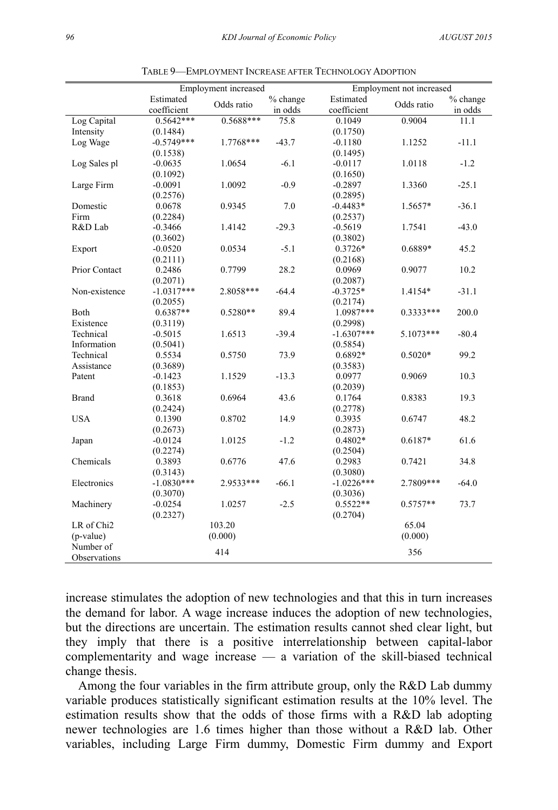| Estimated<br>Estimated<br>% change<br>% change<br>Odds ratio<br>Odds ratio<br>coefficient<br>coefficient<br>in odds<br>in odds<br>$0.5642***$<br>$0.5688***$<br>75.8<br>0.9004<br>Log Capital<br>0.1049<br>11.1<br>Intensity<br>(0.1750)<br>(0.1484)<br>$-0.5749***$<br>Log Wage<br>1.7768***<br>$-43.7$<br>1.1252<br>$-11.1$<br>$-0.1180$<br>(0.1495)<br>(0.1538)<br>$-1.2$<br>$-0.0635$<br>1.0654<br>$-6.1$<br>1.0118<br>Log Sales pl<br>$-0.0117$<br>(0.1092)<br>(0.1650)<br>$-0.9$<br>$-25.1$<br>Large Firm<br>$-0.0091$<br>1.0092<br>$-0.2897$<br>1.3360<br>(0.2576)<br>(0.2895)<br>7.0<br>$-36.1$<br>Domestic<br>0.0678<br>0.9345<br>$-0.4483*$<br>1.5657*<br>Firm<br>(0.2284)<br>(0.2537)<br>$-29.3$<br>R&D Lab<br>1.4142<br>$-43.0$<br>$-0.3466$<br>$-0.5619$<br>1.7541<br>(0.3602)<br>(0.3802)<br>$-5.1$<br>$0.3726*$<br>0.6889*<br>45.2<br>$-0.0520$<br>0.0534<br>Export<br>(0.2111)<br>(0.2168)<br>28.2<br>Prior Contact<br>0.2486<br>0.7799<br>0.0969<br>0.9077<br>10.2<br>(0.2071)<br>(0.2087)<br>$-1.0317***$<br>$-64.4$<br>$-31.1$<br>Non-existence<br>2.8058***<br>$-0.3725*$<br>1.4154*<br>(0.2055)<br>(0.2174)<br>$0.6387**$<br>89.4<br>1.0987***<br>200.0<br>Both<br>$0.5280**$<br>$0.3333***$ |
|-------------------------------------------------------------------------------------------------------------------------------------------------------------------------------------------------------------------------------------------------------------------------------------------------------------------------------------------------------------------------------------------------------------------------------------------------------------------------------------------------------------------------------------------------------------------------------------------------------------------------------------------------------------------------------------------------------------------------------------------------------------------------------------------------------------------------------------------------------------------------------------------------------------------------------------------------------------------------------------------------------------------------------------------------------------------------------------------------------------------------------------------------------------------------------------------------------------------|
|                                                                                                                                                                                                                                                                                                                                                                                                                                                                                                                                                                                                                                                                                                                                                                                                                                                                                                                                                                                                                                                                                                                                                                                                                   |
|                                                                                                                                                                                                                                                                                                                                                                                                                                                                                                                                                                                                                                                                                                                                                                                                                                                                                                                                                                                                                                                                                                                                                                                                                   |
|                                                                                                                                                                                                                                                                                                                                                                                                                                                                                                                                                                                                                                                                                                                                                                                                                                                                                                                                                                                                                                                                                                                                                                                                                   |
|                                                                                                                                                                                                                                                                                                                                                                                                                                                                                                                                                                                                                                                                                                                                                                                                                                                                                                                                                                                                                                                                                                                                                                                                                   |
|                                                                                                                                                                                                                                                                                                                                                                                                                                                                                                                                                                                                                                                                                                                                                                                                                                                                                                                                                                                                                                                                                                                                                                                                                   |
|                                                                                                                                                                                                                                                                                                                                                                                                                                                                                                                                                                                                                                                                                                                                                                                                                                                                                                                                                                                                                                                                                                                                                                                                                   |
|                                                                                                                                                                                                                                                                                                                                                                                                                                                                                                                                                                                                                                                                                                                                                                                                                                                                                                                                                                                                                                                                                                                                                                                                                   |
|                                                                                                                                                                                                                                                                                                                                                                                                                                                                                                                                                                                                                                                                                                                                                                                                                                                                                                                                                                                                                                                                                                                                                                                                                   |
|                                                                                                                                                                                                                                                                                                                                                                                                                                                                                                                                                                                                                                                                                                                                                                                                                                                                                                                                                                                                                                                                                                                                                                                                                   |
|                                                                                                                                                                                                                                                                                                                                                                                                                                                                                                                                                                                                                                                                                                                                                                                                                                                                                                                                                                                                                                                                                                                                                                                                                   |
|                                                                                                                                                                                                                                                                                                                                                                                                                                                                                                                                                                                                                                                                                                                                                                                                                                                                                                                                                                                                                                                                                                                                                                                                                   |
|                                                                                                                                                                                                                                                                                                                                                                                                                                                                                                                                                                                                                                                                                                                                                                                                                                                                                                                                                                                                                                                                                                                                                                                                                   |
|                                                                                                                                                                                                                                                                                                                                                                                                                                                                                                                                                                                                                                                                                                                                                                                                                                                                                                                                                                                                                                                                                                                                                                                                                   |
|                                                                                                                                                                                                                                                                                                                                                                                                                                                                                                                                                                                                                                                                                                                                                                                                                                                                                                                                                                                                                                                                                                                                                                                                                   |
|                                                                                                                                                                                                                                                                                                                                                                                                                                                                                                                                                                                                                                                                                                                                                                                                                                                                                                                                                                                                                                                                                                                                                                                                                   |
|                                                                                                                                                                                                                                                                                                                                                                                                                                                                                                                                                                                                                                                                                                                                                                                                                                                                                                                                                                                                                                                                                                                                                                                                                   |
|                                                                                                                                                                                                                                                                                                                                                                                                                                                                                                                                                                                                                                                                                                                                                                                                                                                                                                                                                                                                                                                                                                                                                                                                                   |
|                                                                                                                                                                                                                                                                                                                                                                                                                                                                                                                                                                                                                                                                                                                                                                                                                                                                                                                                                                                                                                                                                                                                                                                                                   |
|                                                                                                                                                                                                                                                                                                                                                                                                                                                                                                                                                                                                                                                                                                                                                                                                                                                                                                                                                                                                                                                                                                                                                                                                                   |
|                                                                                                                                                                                                                                                                                                                                                                                                                                                                                                                                                                                                                                                                                                                                                                                                                                                                                                                                                                                                                                                                                                                                                                                                                   |
|                                                                                                                                                                                                                                                                                                                                                                                                                                                                                                                                                                                                                                                                                                                                                                                                                                                                                                                                                                                                                                                                                                                                                                                                                   |
| Existence<br>(0.3119)<br>(0.2998)                                                                                                                                                                                                                                                                                                                                                                                                                                                                                                                                                                                                                                                                                                                                                                                                                                                                                                                                                                                                                                                                                                                                                                                 |
| 1.6513<br>$-39.4$<br>$-1.6307***$<br>$-80.4$<br>Technical<br>$-0.5015$<br>5.1073***                                                                                                                                                                                                                                                                                                                                                                                                                                                                                                                                                                                                                                                                                                                                                                                                                                                                                                                                                                                                                                                                                                                               |
| Information<br>(0.5041)<br>(0.5854)                                                                                                                                                                                                                                                                                                                                                                                                                                                                                                                                                                                                                                                                                                                                                                                                                                                                                                                                                                                                                                                                                                                                                                               |
| Technical<br>0.5534<br>0.5750<br>73.9<br>0.6892*<br>$0.5020*$<br>99.2                                                                                                                                                                                                                                                                                                                                                                                                                                                                                                                                                                                                                                                                                                                                                                                                                                                                                                                                                                                                                                                                                                                                             |
| Assistance<br>(0.3689)<br>(0.3583)                                                                                                                                                                                                                                                                                                                                                                                                                                                                                                                                                                                                                                                                                                                                                                                                                                                                                                                                                                                                                                                                                                                                                                                |
| $-0.1423$<br>1.1529<br>$-13.3$<br>0.0977<br>0.9069<br>10.3<br>Patent                                                                                                                                                                                                                                                                                                                                                                                                                                                                                                                                                                                                                                                                                                                                                                                                                                                                                                                                                                                                                                                                                                                                              |
| (0.1853)<br>(0.2039)                                                                                                                                                                                                                                                                                                                                                                                                                                                                                                                                                                                                                                                                                                                                                                                                                                                                                                                                                                                                                                                                                                                                                                                              |
| <b>Brand</b><br>0.3618<br>0.6964<br>43.6<br>0.1764<br>0.8383<br>19.3                                                                                                                                                                                                                                                                                                                                                                                                                                                                                                                                                                                                                                                                                                                                                                                                                                                                                                                                                                                                                                                                                                                                              |
| (0.2424)<br>(0.2778)                                                                                                                                                                                                                                                                                                                                                                                                                                                                                                                                                                                                                                                                                                                                                                                                                                                                                                                                                                                                                                                                                                                                                                                              |
| <b>USA</b><br>14.9<br>48.2<br>0.1390<br>0.8702<br>0.3935<br>0.6747                                                                                                                                                                                                                                                                                                                                                                                                                                                                                                                                                                                                                                                                                                                                                                                                                                                                                                                                                                                                                                                                                                                                                |
| (0.2673)<br>(0.2873)                                                                                                                                                                                                                                                                                                                                                                                                                                                                                                                                                                                                                                                                                                                                                                                                                                                                                                                                                                                                                                                                                                                                                                                              |
| $-1.2$<br>61.6<br>$-0.0124$<br>1.0125<br>$0.4802*$<br>$0.6187*$<br>Japan                                                                                                                                                                                                                                                                                                                                                                                                                                                                                                                                                                                                                                                                                                                                                                                                                                                                                                                                                                                                                                                                                                                                          |
| (0.2274)<br>(0.2504)                                                                                                                                                                                                                                                                                                                                                                                                                                                                                                                                                                                                                                                                                                                                                                                                                                                                                                                                                                                                                                                                                                                                                                                              |
| Chemicals<br>47.6<br>34.8<br>0.3893<br>0.6776<br>0.2983<br>0.7421                                                                                                                                                                                                                                                                                                                                                                                                                                                                                                                                                                                                                                                                                                                                                                                                                                                                                                                                                                                                                                                                                                                                                 |
| (0.3143)<br>(0.3080)                                                                                                                                                                                                                                                                                                                                                                                                                                                                                                                                                                                                                                                                                                                                                                                                                                                                                                                                                                                                                                                                                                                                                                                              |
| Electronics<br>$-1.0830***$<br>2.9533***<br>$-66.1$<br>$-1.0226***$<br>2.7809***<br>$-64.0$                                                                                                                                                                                                                                                                                                                                                                                                                                                                                                                                                                                                                                                                                                                                                                                                                                                                                                                                                                                                                                                                                                                       |
| (0.3070)<br>(0.3036)                                                                                                                                                                                                                                                                                                                                                                                                                                                                                                                                                                                                                                                                                                                                                                                                                                                                                                                                                                                                                                                                                                                                                                                              |
| $0.5522**$<br>$-2.5$<br>73.7<br>Machinery<br>$-0.0254$<br>1.0257<br>$0.5757**$                                                                                                                                                                                                                                                                                                                                                                                                                                                                                                                                                                                                                                                                                                                                                                                                                                                                                                                                                                                                                                                                                                                                    |
| (0.2327)<br>(0.2704)                                                                                                                                                                                                                                                                                                                                                                                                                                                                                                                                                                                                                                                                                                                                                                                                                                                                                                                                                                                                                                                                                                                                                                                              |
| LR of Chi <sub>2</sub><br>103.20<br>65.04                                                                                                                                                                                                                                                                                                                                                                                                                                                                                                                                                                                                                                                                                                                                                                                                                                                                                                                                                                                                                                                                                                                                                                         |
| (p-value)<br>(0.000)<br>(0.000)                                                                                                                                                                                                                                                                                                                                                                                                                                                                                                                                                                                                                                                                                                                                                                                                                                                                                                                                                                                                                                                                                                                                                                                   |
| Number of<br>414<br>356                                                                                                                                                                                                                                                                                                                                                                                                                                                                                                                                                                                                                                                                                                                                                                                                                                                                                                                                                                                                                                                                                                                                                                                           |
| Observations                                                                                                                                                                                                                                                                                                                                                                                                                                                                                                                                                                                                                                                                                                                                                                                                                                                                                                                                                                                                                                                                                                                                                                                                      |

TABLE 9—EMPLOYMENT INCREASE AFTER TECHNOLOGY ADOPTION

increase stimulates the adoption of new technologies and that this in turn increases the demand for labor. A wage increase induces the adoption of new technologies, but the directions are uncertain. The estimation results cannot shed clear light, but they imply that there is a positive interrelationship between capital-labor complementarity and wage increase — a variation of the skill-biased technical change thesis.

Among the four variables in the firm attribute group, only the R&D Lab dummy variable produces statistically significant estimation results at the 10% level. The estimation results show that the odds of those firms with a R&D lab adopting newer technologies are 1.6 times higher than those without a R&D lab. Other variables, including Large Firm dummy, Domestic Firm dummy and Export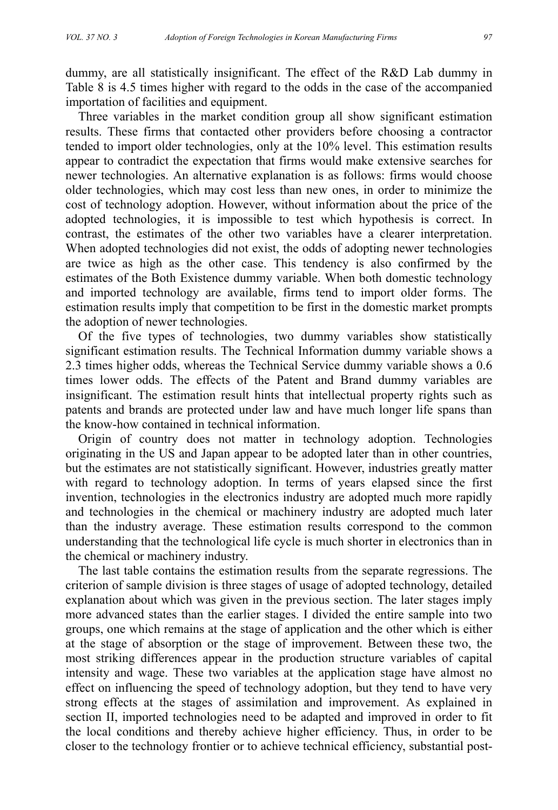dummy, are all statistically insignificant. The effect of the R&D Lab dummy in Table 8 is 4.5 times higher with regard to the odds in the case of the accompanied importation of facilities and equipment.

Three variables in the market condition group all show significant estimation results. These firms that contacted other providers before choosing a contractor tended to import older technologies, only at the 10% level. This estimation results appear to contradict the expectation that firms would make extensive searches for newer technologies. An alternative explanation is as follows: firms would choose older technologies, which may cost less than new ones, in order to minimize the cost of technology adoption. However, without information about the price of the adopted technologies, it is impossible to test which hypothesis is correct. In contrast, the estimates of the other two variables have a clearer interpretation. When adopted technologies did not exist, the odds of adopting newer technologies are twice as high as the other case. This tendency is also confirmed by the estimates of the Both Existence dummy variable. When both domestic technology and imported technology are available, firms tend to import older forms. The estimation results imply that competition to be first in the domestic market prompts the adoption of newer technologies.

Of the five types of technologies, two dummy variables show statistically significant estimation results. The Technical Information dummy variable shows a 2.3 times higher odds, whereas the Technical Service dummy variable shows a 0.6 times lower odds. The effects of the Patent and Brand dummy variables are insignificant. The estimation result hints that intellectual property rights such as patents and brands are protected under law and have much longer life spans than the know-how contained in technical information.

Origin of country does not matter in technology adoption. Technologies originating in the US and Japan appear to be adopted later than in other countries, but the estimates are not statistically significant. However, industries greatly matter with regard to technology adoption. In terms of years elapsed since the first invention, technologies in the electronics industry are adopted much more rapidly and technologies in the chemical or machinery industry are adopted much later than the industry average. These estimation results correspond to the common understanding that the technological life cycle is much shorter in electronics than in the chemical or machinery industry.

The last table contains the estimation results from the separate regressions. The criterion of sample division is three stages of usage of adopted technology, detailed explanation about which was given in the previous section. The later stages imply more advanced states than the earlier stages. I divided the entire sample into two groups, one which remains at the stage of application and the other which is either at the stage of absorption or the stage of improvement. Between these two, the most striking differences appear in the production structure variables of capital intensity and wage. These two variables at the application stage have almost no effect on influencing the speed of technology adoption, but they tend to have very strong effects at the stages of assimilation and improvement. As explained in section II, imported technologies need to be adapted and improved in order to fit the local conditions and thereby achieve higher efficiency. Thus, in order to be closer to the technology frontier or to achieve technical efficiency, substantial post-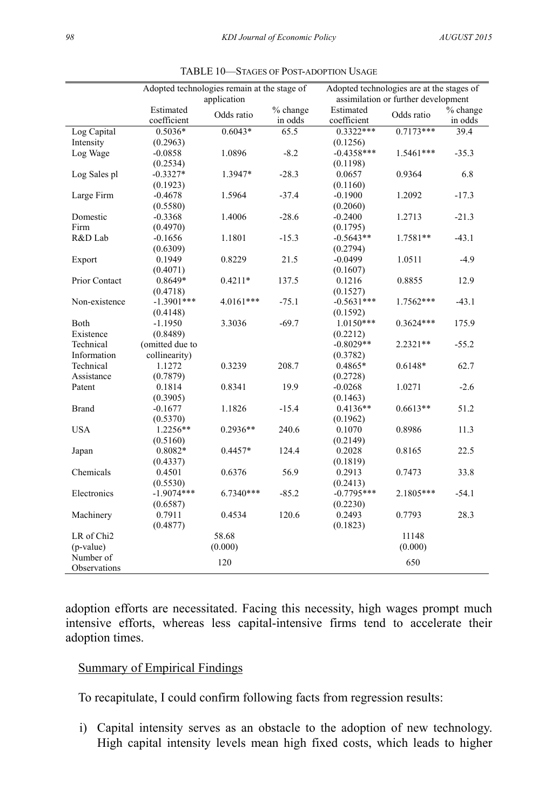|                        | Adopted technologies remain at the stage of |             |          | Adopted technologies are at the stages of |             |          |  |
|------------------------|---------------------------------------------|-------------|----------|-------------------------------------------|-------------|----------|--|
|                        |                                             | application |          | assimilation or further development       |             |          |  |
|                        | Estimated                                   |             | % change | Estimated                                 |             | % change |  |
|                        | coefficient                                 | Odds ratio  | in odds  | coefficient                               | Odds ratio  | in odds  |  |
| Log Capital            | $0.5036*$                                   | $0.6043*$   | 65.5     | $0.3322***$                               | $0.7173***$ | 39.4     |  |
| Intensity              | (0.2963)                                    |             |          | (0.1256)                                  |             |          |  |
| Log Wage               | $-0.0858$                                   | 1.0896      | $-8.2$   | $-0.4358***$                              | 1.5461***   | $-35.3$  |  |
|                        | (0.2534)                                    |             |          | (0.1198)                                  |             |          |  |
| Log Sales pl           | $-0.3327*$                                  | 1.3947*     | $-28.3$  | 0.0657                                    | 0.9364      | 6.8      |  |
|                        | (0.1923)                                    |             |          | (0.1160)                                  |             |          |  |
| Large Firm             | $-0.4678$                                   | 1.5964      | $-37.4$  | $-0.1900$                                 | 1.2092      | $-17.3$  |  |
|                        | (0.5580)                                    |             |          | (0.2060)                                  |             |          |  |
| Domestic               | $-0.3368$                                   | 1.4006      | $-28.6$  | $-0.2400$                                 | 1.2713      | $-21.3$  |  |
| Firm                   | (0.4970)                                    |             |          | (0.1795)                                  |             |          |  |
| R&D Lab                | $-0.1656$                                   | 1.1801      | $-15.3$  | $-0.5643**$                               | 1.7581**    | $-43.1$  |  |
|                        | (0.6309)                                    |             |          | (0.2794)                                  |             |          |  |
| Export                 | 0.1949                                      | 0.8229      | 21.5     | $-0.0499$                                 | 1.0511      | $-4.9$   |  |
|                        | (0.4071)                                    |             |          | (0.1607)                                  |             |          |  |
| Prior Contact          | 0.8649*                                     | $0.4211*$   | 137.5    | 0.1216                                    | 0.8855      | 12.9     |  |
|                        | (0.4718)                                    |             |          | (0.1527)                                  |             |          |  |
| Non-existence          | $-1.3901***$                                | 4.0161***   | $-75.1$  | $-0.5631***$                              | 1.7562***   | $-43.1$  |  |
|                        | (0.4148)                                    |             |          | (0.1592)                                  |             |          |  |
| Both                   | $-1.1950$                                   | 3.3036      | $-69.7$  | $1.0150***$                               | $0.3624***$ | 175.9    |  |
| Existence              | (0.8489)                                    |             |          | (0.2212)                                  |             |          |  |
| Technical              | (omitted due to                             |             |          | $-0.8029**$                               | 2.2321**    | $-55.2$  |  |
| Information            | collinearity)                               |             |          | (0.3782)                                  |             |          |  |
| Technical              | 1.1272                                      | 0.3239      | 208.7    | 0.4865*                                   | $0.6148*$   | 62.7     |  |
| Assistance             | (0.7879)                                    |             |          | (0.2728)                                  |             |          |  |
| Patent                 | 0.1814                                      | 0.8341      | 19.9     | $-0.0268$                                 | 1.0271      | $-2.6$   |  |
|                        | (0.3905)                                    |             |          | (0.1463)                                  |             |          |  |
| <b>Brand</b>           | $-0.1677$                                   | 1.1826      | $-15.4$  | $0.4136**$                                | $0.6613**$  | 51.2     |  |
|                        | (0.5370)                                    |             |          | (0.1962)                                  |             |          |  |
| <b>USA</b>             | $1.2256**$                                  | $0.2936**$  | 240.6    | 0.1070                                    | 0.8986      | 11.3     |  |
|                        | (0.5160)                                    |             |          | (0.2149)                                  |             |          |  |
| Japan                  | $0.8082*$                                   | $0.4457*$   | 124.4    | 0.2028                                    | 0.8165      | 22.5     |  |
|                        | (0.4337)                                    |             |          | (0.1819)                                  |             |          |  |
| Chemicals              | 0.4501                                      | 0.6376      | 56.9     | 0.2913                                    | 0.7473      | 33.8     |  |
|                        | (0.5530)                                    |             |          | (0.2413)                                  |             |          |  |
| Electronics            | $-1.9074***$                                | $6.7340***$ | $-85.2$  | $-0.7795***$                              | 2.1805***   | $-54.1$  |  |
|                        | (0.6587)                                    |             |          | (0.2230)                                  |             |          |  |
| Machinery              | 0.7911                                      | 0.4534      | 120.6    | 0.2493                                    | 0.7793      | 28.3     |  |
|                        | (0.4877)                                    |             |          | (0.1823)                                  |             |          |  |
| LR of Chi <sub>2</sub> |                                             | 58.68       |          |                                           | 11148       |          |  |
| (p-value)              |                                             | (0.000)     |          |                                           | (0.000)     |          |  |
| Number of              |                                             |             |          |                                           |             |          |  |
| Observations           |                                             | 120         |          |                                           | 650         |          |  |
|                        |                                             |             |          |                                           |             |          |  |

TABLE 10—STAGES OF POST-ADOPTION USAGE

adoption efforts are necessitated. Facing this necessity, high wages prompt much intensive efforts, whereas less capital-intensive firms tend to accelerate their adoption times.

## Summary of Empirical Findings

To recapitulate, I could confirm following facts from regression results:

i) Capital intensity serves as an obstacle to the adoption of new technology. High capital intensity levels mean high fixed costs, which leads to higher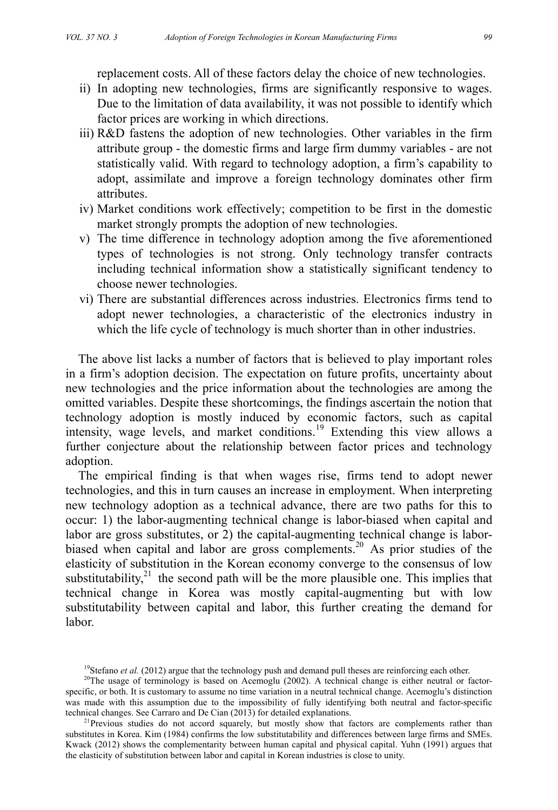replacement costs. All of these factors delay the choice of new technologies.

- ii) In adopting new technologies, firms are significantly responsive to wages. Due to the limitation of data availability, it was not possible to identify which factor prices are working in which directions.
- iii) R&D fastens the adoption of new technologies. Other variables in the firm attribute group - the domestic firms and large firm dummy variables - are not statistically valid. With regard to technology adoption, a firm's capability to adopt, assimilate and improve a foreign technology dominates other firm attributes.
- iv) Market conditions work effectively; competition to be first in the domestic market strongly prompts the adoption of new technologies.
- v) The time difference in technology adoption among the five aforementioned types of technologies is not strong. Only technology transfer contracts including technical information show a statistically significant tendency to choose newer technologies.
- vi) There are substantial differences across industries. Electronics firms tend to adopt newer technologies, a characteristic of the electronics industry in which the life cycle of technology is much shorter than in other industries.

The above list lacks a number of factors that is believed to play important roles in a firm's adoption decision. The expectation on future profits, uncertainty about new technologies and the price information about the technologies are among the omitted variables. Despite these shortcomings, the findings ascertain the notion that technology adoption is mostly induced by economic factors, such as capital intensity, wage levels, and market conditions.<sup>19</sup> Extending this view allows a further conjecture about the relationship between factor prices and technology adoption.

The empirical finding is that when wages rise, firms tend to adopt newer technologies, and this in turn causes an increase in employment. When interpreting new technology adoption as a technical advance, there are two paths for this to occur: 1) the labor-augmenting technical change is labor-biased when capital and labor are gross substitutes, or 2) the capital-augmenting technical change is laborbiased when capital and labor are gross complements.<sup>20</sup> As prior studies of the elasticity of substitution in the Korean economy converge to the consensus of low substitutability, $21$  the second path will be the more plausible one. This implies that technical change in Korea was mostly capital-augmenting but with low substitutability between capital and labor, this further creating the demand for labor.

<sup>&</sup>lt;sup>19</sup>Stefano *et al.* (2012) argue that the technology push and demand pull theses are reinforcing each other. <sup>20</sup>The usage of terminology is based on Acemoglu (2002). A technical change is either neutral or factor-

specific, or both. It is customary to assume no time variation in a neutral technical change. Acemoglu's distinction was made with this assumption due to the impossibility of fully identifying both neutral and factor-specific technical changes. See Carraro and De Cian (2013) for detailed explanations.<br><sup>21</sup> Previous studies do not accord squarely, but mostly show that factors are complements rather than

substitutes in Korea. Kim (1984) confirms the low substitutability and differences between large firms and SMEs. Kwack (2012) shows the complementarity between human capital and physical capital. Yuhn (1991) argues that the elasticity of substitution between labor and capital in Korean industries is close to unity.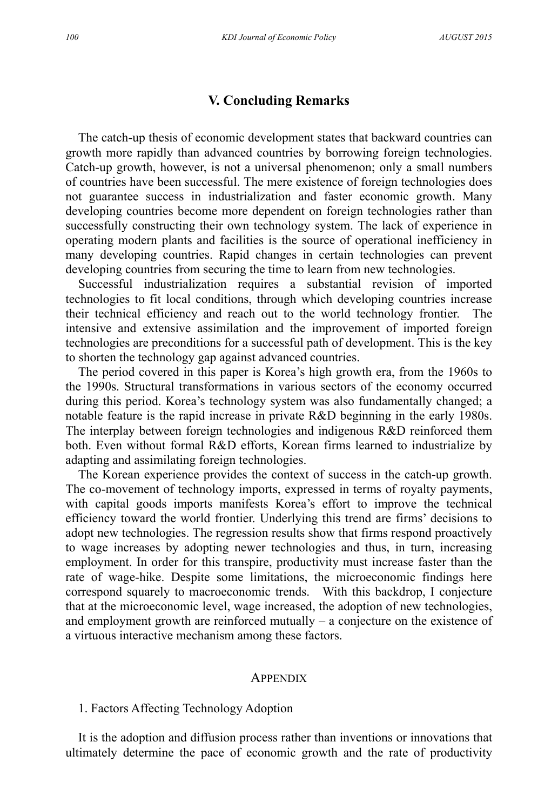## **V. Concluding Remarks**

The catch-up thesis of economic development states that backward countries can growth more rapidly than advanced countries by borrowing foreign technologies. Catch-up growth, however, is not a universal phenomenon; only a small numbers of countries have been successful. The mere existence of foreign technologies does not guarantee success in industrialization and faster economic growth. Many developing countries become more dependent on foreign technologies rather than successfully constructing their own technology system. The lack of experience in operating modern plants and facilities is the source of operational inefficiency in many developing countries. Rapid changes in certain technologies can prevent developing countries from securing the time to learn from new technologies.

Successful industrialization requires a substantial revision of imported technologies to fit local conditions, through which developing countries increase their technical efficiency and reach out to the world technology frontier. The intensive and extensive assimilation and the improvement of imported foreign technologies are preconditions for a successful path of development. This is the key to shorten the technology gap against advanced countries.

The period covered in this paper is Korea's high growth era, from the 1960s to the 1990s. Structural transformations in various sectors of the economy occurred during this period. Korea's technology system was also fundamentally changed; a notable feature is the rapid increase in private R&D beginning in the early 1980s. The interplay between foreign technologies and indigenous R&D reinforced them both. Even without formal R&D efforts, Korean firms learned to industrialize by adapting and assimilating foreign technologies.

The Korean experience provides the context of success in the catch-up growth. The co-movement of technology imports, expressed in terms of royalty payments, with capital goods imports manifests Korea's effort to improve the technical efficiency toward the world frontier. Underlying this trend are firms' decisions to adopt new technologies. The regression results show that firms respond proactively to wage increases by adopting newer technologies and thus, in turn, increasing employment. In order for this transpire, productivity must increase faster than the rate of wage-hike. Despite some limitations, the microeconomic findings here correspond squarely to macroeconomic trends. With this backdrop, I conjecture that at the microeconomic level, wage increased, the adoption of new technologies, and employment growth are reinforced mutually – a conjecture on the existence of a virtuous interactive mechanism among these factors.

#### **APPENDIX**

#### 1. Factors Affecting Technology Adoption

It is the adoption and diffusion process rather than inventions or innovations that ultimately determine the pace of economic growth and the rate of productivity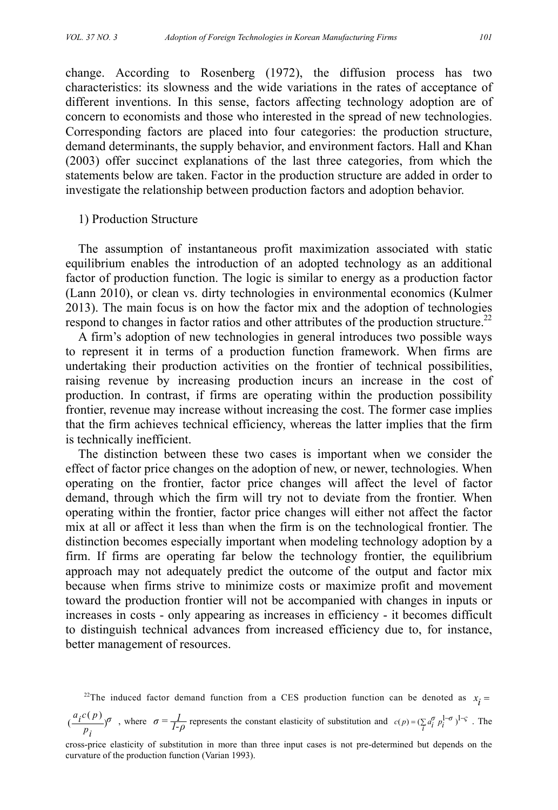change. According to Rosenberg (1972), the diffusion process has two characteristics: its slowness and the wide variations in the rates of acceptance of different inventions. In this sense, factors affecting technology adoption are of concern to economists and those who interested in the spread of new technologies. Corresponding factors are placed into four categories: the production structure, demand determinants, the supply behavior, and environment factors. Hall and Khan (2003) offer succinct explanations of the last three categories, from which the statements below are taken. Factor in the production structure are added in order to investigate the relationship between production factors and adoption behavior.

#### 1) Production Structure

The assumption of instantaneous profit maximization associated with static equilibrium enables the introduction of an adopted technology as an additional factor of production function. The logic is similar to energy as a production factor (Lann 2010), or clean vs. dirty technologies in environmental economics (Kulmer 2013). The main focus is on how the factor mix and the adoption of technologies respond to changes in factor ratios and other attributes of the production structure.<sup>22</sup>

A firm's adoption of new technologies in general introduces two possible ways to represent it in terms of a production function framework. When firms are undertaking their production activities on the frontier of technical possibilities, raising revenue by increasing production incurs an increase in the cost of production. In contrast, if firms are operating within the production possibility frontier, revenue may increase without increasing the cost. The former case implies that the firm achieves technical efficiency, whereas the latter implies that the firm is technically inefficient.

The distinction between these two cases is important when we consider the effect of factor price changes on the adoption of new, or newer, technologies. When operating on the frontier, factor price changes will affect the level of factor demand, through which the firm will try not to deviate from the frontier. When operating within the frontier, factor price changes will either not affect the factor mix at all or affect it less than when the firm is on the technological frontier. The distinction becomes especially important when modeling technology adoption by a firm. If firms are operating far below the technology frontier, the equilibrium approach may not adequately predict the outcome of the output and factor mix because when firms strive to minimize costs or maximize profit and movement toward the production frontier will not be accompanied with changes in inputs or increases in costs - only appearing as increases in efficiency - it becomes difficult to distinguish technical advances from increased efficiency due to, for instance, better management of resources.

<sup>22</sup>The induced factor demand function from a CES production function can be denoted as  $x_i =$ 

$$
(\frac{a_i c(p)}{p_i})^{\sigma}
$$
, where  $\sigma = \frac{1}{1-\rho}$  represents the constant elasticity of substitution and  $c(p) = (\sum_i a_i^{\sigma} p_i^{1-\sigma})^{1-\varsigma}$ . The

cross-price elasticity of substitution in more than three input cases is not pre-determined but depends on the curvature of the production function (Varian 1993).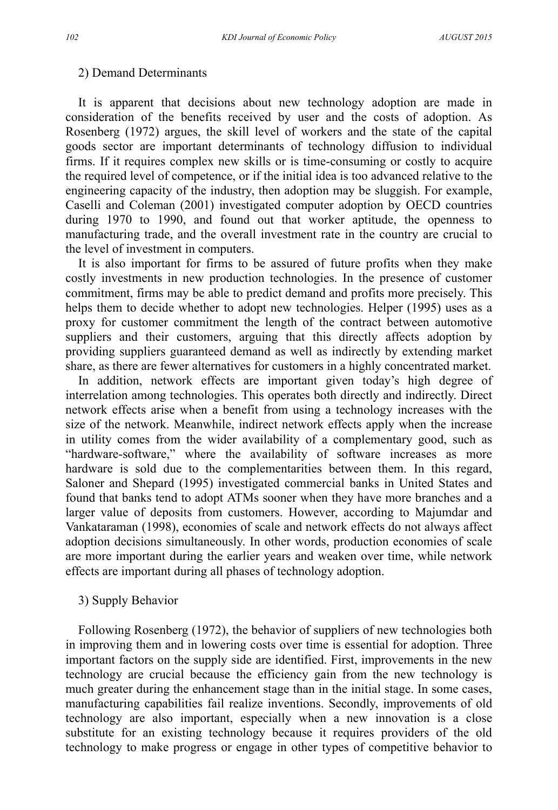#### 2) Demand Determinants

It is apparent that decisions about new technology adoption are made in consideration of the benefits received by user and the costs of adoption. As Rosenberg (1972) argues, the skill level of workers and the state of the capital goods sector are important determinants of technology diffusion to individual firms. If it requires complex new skills or is time-consuming or costly to acquire the required level of competence, or if the initial idea is too advanced relative to the engineering capacity of the industry, then adoption may be sluggish. For example, Caselli and Coleman (2001) investigated computer adoption by OECD countries during 1970 to 1990, and found out that worker aptitude, the openness to manufacturing trade, and the overall investment rate in the country are crucial to the level of investment in computers.

It is also important for firms to be assured of future profits when they make costly investments in new production technologies. In the presence of customer commitment, firms may be able to predict demand and profits more precisely. This helps them to decide whether to adopt new technologies. Helper (1995) uses as a proxy for customer commitment the length of the contract between automotive suppliers and their customers, arguing that this directly affects adoption by providing suppliers guaranteed demand as well as indirectly by extending market share, as there are fewer alternatives for customers in a highly concentrated market.

In addition, network effects are important given today's high degree of interrelation among technologies. This operates both directly and indirectly. Direct network effects arise when a benefit from using a technology increases with the size of the network. Meanwhile, indirect network effects apply when the increase in utility comes from the wider availability of a complementary good, such as "hardware-software," where the availability of software increases as more hardware is sold due to the complementarities between them. In this regard, Saloner and Shepard (1995) investigated commercial banks in United States and found that banks tend to adopt ATMs sooner when they have more branches and a larger value of deposits from customers. However, according to Majumdar and Vankataraman (1998), economies of scale and network effects do not always affect adoption decisions simultaneously. In other words, production economies of scale are more important during the earlier years and weaken over time, while network effects are important during all phases of technology adoption.

#### 3) Supply Behavior

Following Rosenberg (1972), the behavior of suppliers of new technologies both in improving them and in lowering costs over time is essential for adoption. Three important factors on the supply side are identified. First, improvements in the new technology are crucial because the efficiency gain from the new technology is much greater during the enhancement stage than in the initial stage. In some cases, manufacturing capabilities fail realize inventions. Secondly, improvements of old technology are also important, especially when a new innovation is a close substitute for an existing technology because it requires providers of the old technology to make progress or engage in other types of competitive behavior to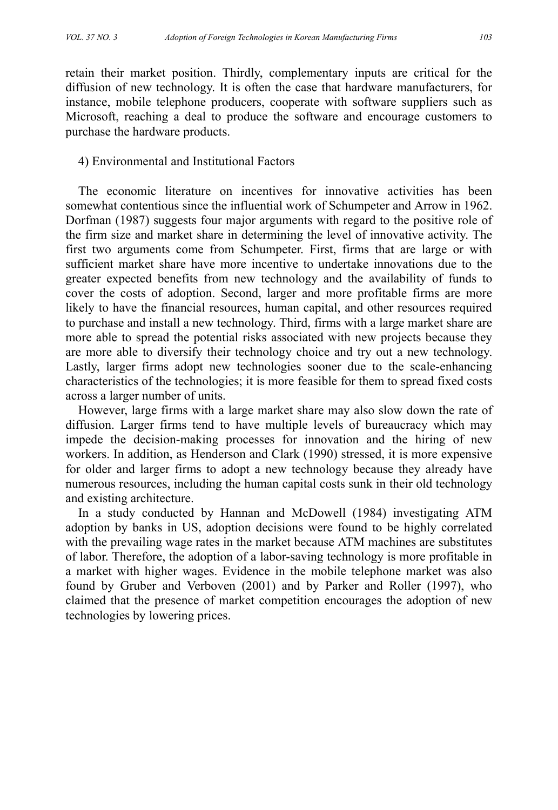retain their market position. Thirdly, complementary inputs are critical for the diffusion of new technology. It is often the case that hardware manufacturers, for instance, mobile telephone producers, cooperate with software suppliers such as Microsoft, reaching a deal to produce the software and encourage customers to purchase the hardware products.

#### 4) Environmental and Institutional Factors

The economic literature on incentives for innovative activities has been somewhat contentious since the influential work of Schumpeter and Arrow in 1962. Dorfman (1987) suggests four major arguments with regard to the positive role of the firm size and market share in determining the level of innovative activity. The first two arguments come from Schumpeter. First, firms that are large or with sufficient market share have more incentive to undertake innovations due to the greater expected benefits from new technology and the availability of funds to cover the costs of adoption. Second, larger and more profitable firms are more likely to have the financial resources, human capital, and other resources required to purchase and install a new technology. Third, firms with a large market share are more able to spread the potential risks associated with new projects because they are more able to diversify their technology choice and try out a new technology. Lastly, larger firms adopt new technologies sooner due to the scale-enhancing characteristics of the technologies; it is more feasible for them to spread fixed costs across a larger number of units.

However, large firms with a large market share may also slow down the rate of diffusion. Larger firms tend to have multiple levels of bureaucracy which may impede the decision-making processes for innovation and the hiring of new workers. In addition, as Henderson and Clark (1990) stressed, it is more expensive for older and larger firms to adopt a new technology because they already have numerous resources, including the human capital costs sunk in their old technology and existing architecture.

In a study conducted by Hannan and McDowell (1984) investigating ATM adoption by banks in US, adoption decisions were found to be highly correlated with the prevailing wage rates in the market because ATM machines are substitutes of labor. Therefore, the adoption of a labor-saving technology is more profitable in a market with higher wages. Evidence in the mobile telephone market was also found by Gruber and Verboven (2001) and by Parker and Roller (1997), who claimed that the presence of market competition encourages the adoption of new technologies by lowering prices.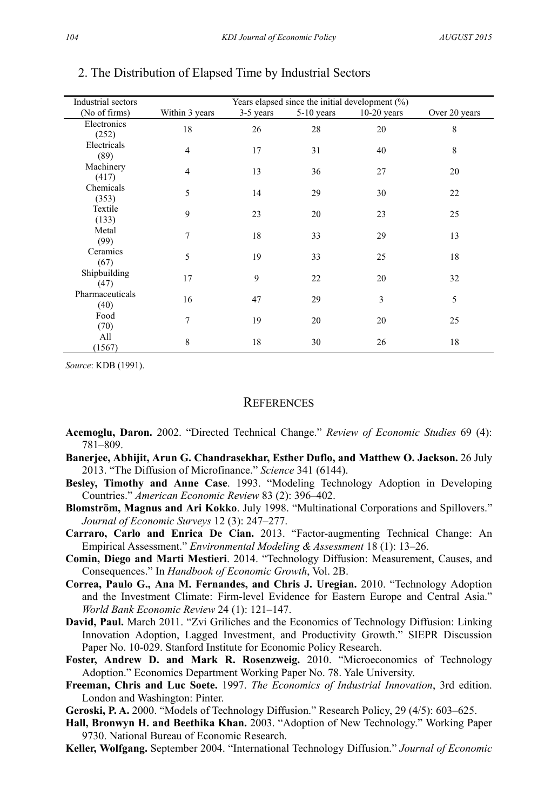| Industrial sectors      | Years elapsed since the initial development $(\%)$ |           |              |               |               |  |  |
|-------------------------|----------------------------------------------------|-----------|--------------|---------------|---------------|--|--|
| (No of firms)           | Within 3 years                                     | 3-5 years | $5-10$ years | $10-20$ years | Over 20 years |  |  |
| Electronics<br>(252)    | 18                                                 | 26        | 28           | 20            | 8             |  |  |
| Electricals<br>(89)     | $\overline{4}$                                     | 17        | 31           | 40            | 8             |  |  |
| Machinery<br>(417)      | $\overline{4}$                                     | 13        | 36           | 27            | 20            |  |  |
| Chemicals<br>(353)      | 5                                                  | 14        | 29           | 30            | 22            |  |  |
| Textile<br>(133)        | 9                                                  | 23        | 20           | 23            | 25            |  |  |
| Metal<br>(99)           | 7                                                  | 18        | 33           | 29            | 13            |  |  |
| Ceramics<br>(67)        | 5                                                  | 19        | 33           | 25            | 18            |  |  |
| Shipbuilding<br>(47)    | 17                                                 | 9         | 22           | 20            | 32            |  |  |
| Pharmaceuticals<br>(40) | 16                                                 | 47        | 29           | 3             | 5             |  |  |
| Food<br>(70)            | 7                                                  | 19        | 20           | 20            | 25            |  |  |
| All<br>(1567)           | 8                                                  | 18        | 30           | 26            | 18            |  |  |

#### 2. The Distribution of Elapsed Time by Industrial Sectors

*Source*: KDB (1991).

#### **REFERENCES**

- **Acemoglu, Daron.** 2002. "Directed Technical Change." *Review of Economic Studies* 69 (4): 781–809.
- **Banerjee, Abhijit, Arun G. Chandrasekhar, Esther Duflo, and Matthew O. Jackson.** 26 July 2013. "The Diffusion of Microfinance." *Science* 341 (6144).
- **Besley, Timothy and Anne Case**. 1993. "Modeling Technology Adoption in Developing Countries." *American Economic Review* 83 (2): 396–402.
- **Blomström, Magnus and Ari Kokko**. July 1998. "Multinational Corporations and Spillovers." *Journal of Economic Surveys* 12 (3): 247–277.
- **Carraro, Carlo and Enrica De Cian.** 2013. "Factor-augmenting Technical Change: An Empirical Assessment." *Environmental Modeling & Assessment* 18 (1): 13–26.
- **Comin, Diego and Marti Mestieri**. 2014. "Technology Diffusion: Measurement, Causes, and Consequences." In *Handbook of Economic Growth*, Vol. 2B.
- **Correa, Paulo G., Ana M. Fernandes, and Chris J. Uregian.** 2010. "Technology Adoption and the Investment Climate: Firm-level Evidence for Eastern Europe and Central Asia." *World Bank Economic Review* 24 (1): 121–147.
- **David, Paul.** March 2011. "Zvi Griliches and the Economics of Technology Diffusion: Linking Innovation Adoption, Lagged Investment, and Productivity Growth." SIEPR Discussion Paper No. 10-029. Stanford Institute for Economic Policy Research.
- **Foster, Andrew D. and Mark R. Rosenzweig.** 2010. "Microeconomics of Technology Adoption." Economics Department Working Paper No. 78. Yale University.
- **Freeman, Chris and Luc Soete.** 1997. *The Economics of Industrial Innovation*, 3rd edition. London and Washington: Pinter.
- **Geroski, P. A.** 2000. "Models of Technology Diffusion." Research Policy, 29 (4/5): 603–625.
- **Hall, Bronwyn H. and Beethika Khan.** 2003. "Adoption of New Technology." Working Paper 9730. National Bureau of Economic Research.
- **Keller, Wolfgang.** September 2004. "International Technology Diffusion." *Journal of Economic*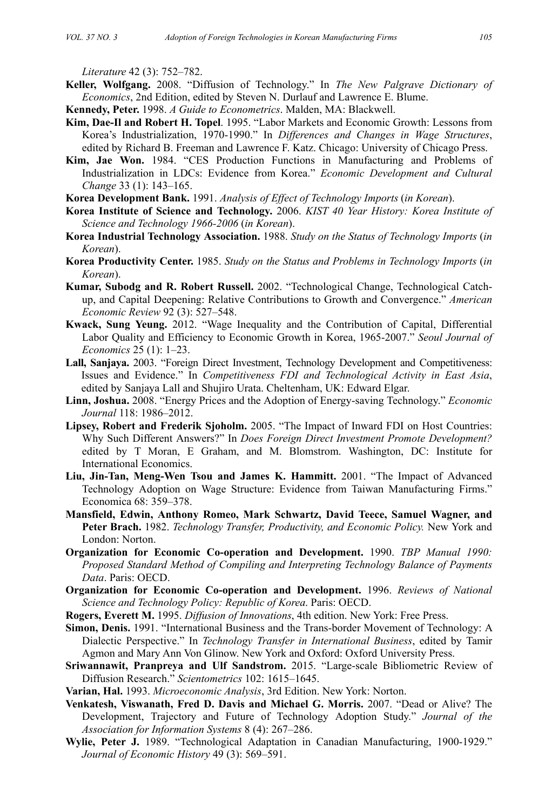*Literature* 42 (3): 752–782.

- **Keller, Wolfgang.** 2008. "Diffusion of Technology." In *The New Palgrave Dictionary of Economics*, 2nd Edition, edited by Steven N. Durlauf and Lawrence E. Blume.
- **Kennedy, Peter.** 1998. *A Guide to Econometrics*. Malden, MA: Blackwell.
- **Kim, Dae-Il and Robert H. Topel**. 1995. "Labor Markets and Economic Growth: Lessons from Korea's Industrialization, 1970-1990." In *Differences and Changes in Wage Structures*, edited by Richard B. Freeman and Lawrence F. Katz. Chicago: University of Chicago Press.
- **Kim, Jae Won.** 1984. "CES Production Functions in Manufacturing and Problems of Industrialization in LDCs: Evidence from Korea." *Economic Development and Cultural Change* 33 (1): 143–165.

**Korea Development Bank.** 1991. *Analysis of Effect of Technology Imports* (*in Korean*).

- **Korea Institute of Science and Technology.** 2006. *KIST 40 Year History: Korea Institute of Science and Technology 1966-2006* (*in Korean*).
- **Korea Industrial Technology Association.** 1988. *Study on the Status of Technology Imports* (*in Korean*).
- **Korea Productivity Center.** 1985. *Study on the Status and Problems in Technology Imports* (*in Korean*).
- **Kumar, Subodg and R. Robert Russell.** 2002. "Technological Change, Technological Catchup, and Capital Deepening: Relative Contributions to Growth and Convergence." *American Economic Review* 92 (3): 527–548.
- **Kwack, Sung Yeung.** 2012. "Wage Inequality and the Contribution of Capital, Differential Labor Quality and Efficiency to Economic Growth in Korea, 1965-2007." *Seoul Journal of Economics* 25 (1): 1–23.
- **Lall, Sanjaya.** 2003. "Foreign Direct Investment, Technology Development and Competitiveness: Issues and Evidence." In *Competitiveness FDI and Technological Activity in East Asia*, edited by Sanjaya Lall and Shujiro Urata. Cheltenham, UK: Edward Elgar.
- **Linn, Joshua.** 2008. "Energy Prices and the Adoption of Energy-saving Technology." *Economic Journal* 118: 1986–2012.
- **Lipsey, Robert and Frederik Sjoholm.** 2005. "The Impact of Inward FDI on Host Countries: Why Such Different Answers?" In *Does Foreign Direct Investment Promote Development?* edited by T Moran, E Graham, and M. Blomstrom. Washington, DC: Institute for International Economics.
- **Liu, Jin-Tan, Meng-Wen Tsou and James K. Hammitt.** 2001. "The Impact of Advanced Technology Adoption on Wage Structure: Evidence from Taiwan Manufacturing Firms." Economica 68: 359–378.
- **Mansfield, Edwin, Anthony Romeo, Mark Schwartz, David Teece, Samuel Wagner, and Peter Brach.** 1982. *Technology Transfer, Productivity, and Economic Policy.* New York and London: Norton.
- **Organization for Economic Co-operation and Development.** 1990. *TBP Manual 1990: Proposed Standard Method of Compiling and Interpreting Technology Balance of Payments Data*. Paris: OECD.
- **Organization for Economic Co-operation and Development.** 1996. *Reviews of National Science and Technology Policy: Republic of Korea*. Paris: OECD.
- **Rogers, Everett M.** 1995. *Diffusion of Innovations*, 4th edition. New York: Free Press.
- **Simon, Denis.** 1991. "International Business and the Trans-border Movement of Technology: A Dialectic Perspective." In *Technology Transfer in International Business*, edited by Tamir Agmon and Mary Ann Von Glinow. New York and Oxford: Oxford University Press.
- **Sriwannawit, Pranpreya and Ulf Sandstrom.** 2015. "Large-scale Bibliometric Review of Diffusion Research." *Scientometrics* 102: 1615–1645.
- **Varian, Hal.** 1993. *Microeconomic Analysis*, 3rd Edition. New York: Norton.
- **Venkatesh, Viswanath, Fred D. Davis and Michael G. Morris.** 2007. "Dead or Alive? The Development, Trajectory and Future of Technology Adoption Study." *Journal of the Association for Information Systems* 8 (4): 267–286.
- **Wylie, Peter J.** 1989. "Technological Adaptation in Canadian Manufacturing, 1900-1929." *Journal of Economic History* 49 (3): 569–591.